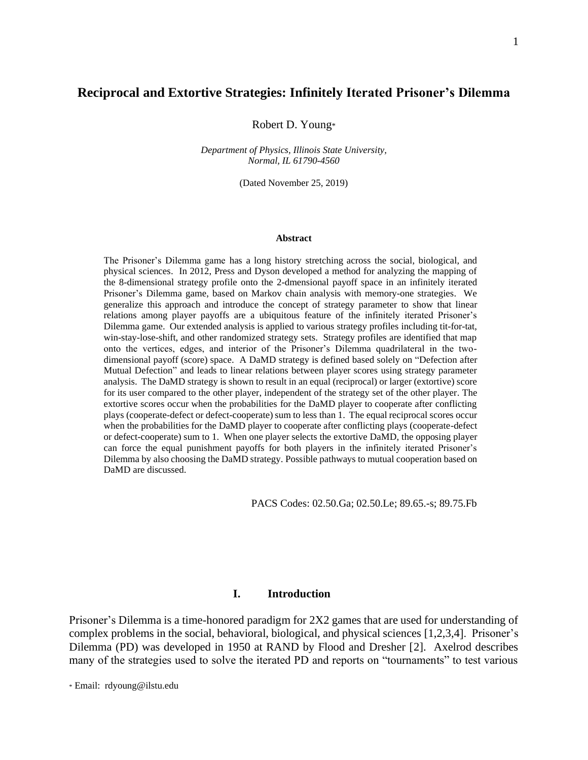# **Reciprocal and Extortive Strategies: Infinitely Iterated Prisoner's Dilemma**

Robert D. Young\*

*Department of Physics, Illinois State University, Normal, IL 61790-4560*

(Dated November 25, 2019)

#### **Abstract**

The Prisoner's Dilemma game has a long history stretching across the social, biological, and physical sciences. In 2012, Press and Dyson developed a method for analyzing the mapping of the 8-dimensional strategy profile onto the 2-dmensional payoff space in an infinitely iterated Prisoner's Dilemma game, based on Markov chain analysis with memory-one strategies. We generalize this approach and introduce the concept of strategy parameter to show that linear relations among player payoffs are a ubiquitous feature of the infinitely iterated Prisoner's Dilemma game. Our extended analysis is applied to various strategy profiles including tit-for-tat, win-stay-lose-shift, and other randomized strategy sets. Strategy profiles are identified that map onto the vertices, edges, and interior of the Prisoner's Dilemma quadrilateral in the twodimensional payoff (score) space. A DaMD strategy is defined based solely on "Defection after Mutual Defection" and leads to linear relations between player scores using strategy parameter analysis. The DaMD strategy is shown to result in an equal (reciprocal) or larger (extortive) score for its user compared to the other player, independent of the strategy set of the other player. The extortive scores occur when the probabilities for the DaMD player to cooperate after conflicting plays (cooperate-defect or defect-cooperate) sum to less than 1. The equal reciprocal scores occur when the probabilities for the DaMD player to cooperate after conflicting plays (cooperate-defect or defect-cooperate) sum to 1. When one player selects the extortive DaMD, the opposing player can force the equal punishment payoffs for both players in the infinitely iterated Prisoner's Dilemma by also choosing the DaMD strategy. Possible pathways to mutual cooperation based on DaMD are discussed.

PACS Codes: 02.50.Ga; 02.50.Le; 89.65.-s; 89.75.Fb

# **I. Introduction**

Prisoner's Dilemma is a time-honored paradigm for 2X2 games that are used for understanding of complex problems in the social, behavioral, biological, and physical sciences [1,2,3,4]. Prisoner's Dilemma (PD) was developed in 1950 at RAND by Flood and Dresher [2]. Axelrod describes many of the strategies used to solve the iterated PD and reports on "tournaments" to test various

\* Email: rdyoung@ilstu.edu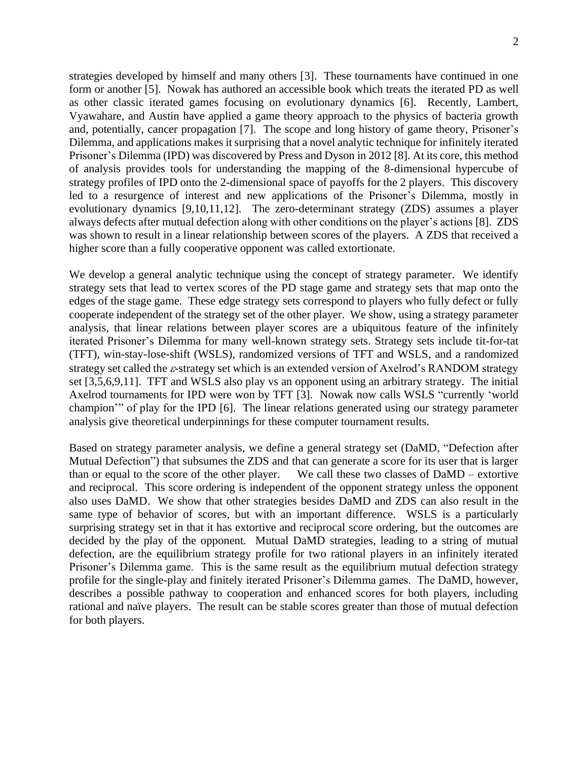strategies developed by himself and many others [3]. These tournaments have continued in one form or another [5]. Nowak has authored an accessible book which treats the iterated PD as well as other classic iterated games focusing on evolutionary dynamics [6]. Recently, Lambert, Vyawahare, and Austin have applied a game theory approach to the physics of bacteria growth and, potentially, cancer propagation [7]. The scope and long history of game theory, Prisoner's Dilemma, and applications makes it surprising that a novel analytic technique for infinitely iterated Prisoner's Dilemma (IPD) was discovered by Press and Dyson in 2012 [8]. At its core, this method of analysis provides tools for understanding the mapping of the 8-dimensional hypercube of strategy profiles of IPD onto the 2-dimensional space of payoffs for the 2 players. This discovery led to a resurgence of interest and new applications of the Prisoner's Dilemma, mostly in evolutionary dynamics [9,10,11,12]. The zero-determinant strategy (ZDS) assumes a player always defects after mutual defection along with other conditions on the player's actions [8]. ZDS was shown to result in a linear relationship between scores of the players. A ZDS that received a higher score than a fully cooperative opponent was called extortionate.

We develop a general analytic technique using the concept of strategy parameter. We identify strategy sets that lead to vertex scores of the PD stage game and strategy sets that map onto the edges of the stage game. These edge strategy sets correspond to players who fully defect or fully cooperate independent of the strategy set of the other player. We show, using a strategy parameter analysis, that linear relations between player scores are a ubiquitous feature of the infinitely iterated Prisoner's Dilemma for many well-known strategy sets. Strategy sets include tit-for-tat (TFT), win-stay-lose-shift (WSLS), randomized versions of TFT and WSLS, and a randomized strategy set called the  $\varepsilon$ -strategy set which is an extended version of Axelrod's RANDOM strategy set [3,5,6,9,11]. TFT and WSLS also play vs an opponent using an arbitrary strategy. The initial Axelrod tournaments for IPD were won by TFT [3]. Nowak now calls WSLS "currently 'world champion'" of play for the IPD [6]. The linear relations generated using our strategy parameter analysis give theoretical underpinnings for these computer tournament results.

Based on strategy parameter analysis, we define a general strategy set (DaMD, "Defection after Mutual Defection") that subsumes the ZDS and that can generate a score for its user that is larger than or equal to the score of the other player. We call these two classes of DaMD – extortive and reciprocal. This score ordering is independent of the opponent strategy unless the opponent also uses DaMD. We show that other strategies besides DaMD and ZDS can also result in the same type of behavior of scores, but with an important difference. WSLS is a particularly surprising strategy set in that it has extortive and reciprocal score ordering, but the outcomes are decided by the play of the opponent. Mutual DaMD strategies, leading to a string of mutual defection, are the equilibrium strategy profile for two rational players in an infinitely iterated Prisoner's Dilemma game. This is the same result as the equilibrium mutual defection strategy profile for the single-play and finitely iterated Prisoner's Dilemma games. The DaMD, however, describes a possible pathway to cooperation and enhanced scores for both players, including rational and naïve players. The result can be stable scores greater than those of mutual defection for both players.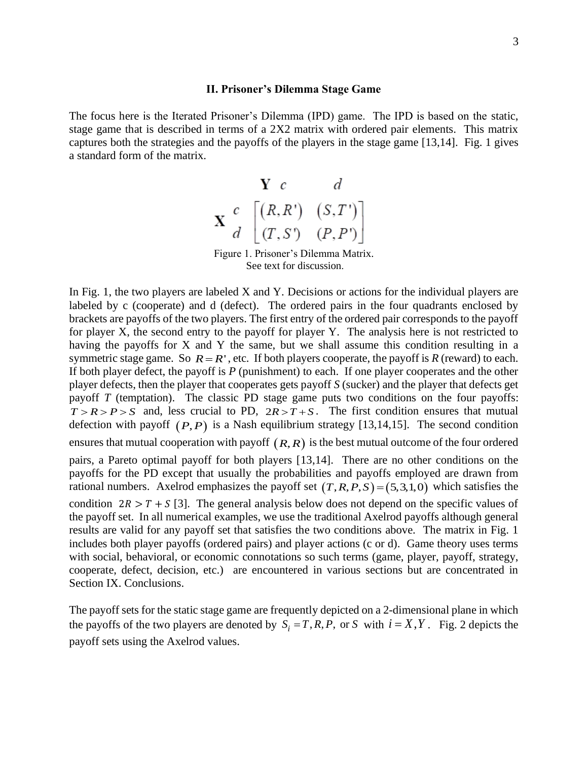## **II. Prisoner's Dilemma Stage Game**

The focus here is the Iterated Prisoner's Dilemma (IPD) game. The IPD is based on the static, stage game that is described in terms of a 2X2 matrix with ordered pair elements. This matrix captures both the strategies and the payoffs of the players in the stage game [13,14]. Fig. 1 gives a standard form of the matrix.



Figure 1. Prisoner's Dilemma Matrix. See text for discussion.

In Fig. 1, the two players are labeled X and Y. Decisions or actions for the individual players are labeled by c (cooperate) and d (defect). The ordered pairs in the four quadrants enclosed by brackets are payoffs of the two players. The first entry of the ordered pair corresponds to the payoff for player X, the second entry to the payoff for player Y. The analysis here is not restricted to having the payoffs for X and Y the same, but we shall assume this condition resulting in a symmetric stage game. So  $R = R'$ , etc. If both players cooperate, the payoff is  $R$  (reward) to each. If both player defect, the payoff is *P* (punishment) to each. If one player cooperates and the other player defects, then the player that cooperates gets payoff *S* (sucker) and the player that defects get payoff *T* (temptation). The classic PD stage game puts two conditions on the four payoffs:  $T > R > P > S$  and, less crucial to PD,  $2R > T + S$ . The first condition ensures that mutual defection with payoff  $(P, P)$  is a Nash equilibrium strategy [13,14,15]. The second condition ensures that mutual cooperation with payoff  $(R, R)$  is the best mutual outcome of the four ordered pairs, a Pareto optimal payoff for both players [13,14]. There are no other conditions on the payoffs for the PD except that usually the probabilities and payoffs employed are drawn from rational numbers. Axelrod emphasizes the payoff set  $(T, R, P, S) = (5, 3, 1, 0)$  which satisfies the condition  $2R > T + S$  [3]. The general analysis below does not depend on the specific values of the payoff set. In all numerical examples, we use the traditional Axelrod payoffs although general results are valid for any payoff set that satisfies the two conditions above. The matrix in Fig. 1 includes both player payoffs (ordered pairs) and player actions (c or d). Game theory uses terms with social, behavioral, or economic connotations so such terms (game, player, payoff, strategy, cooperate, defect, decision, etc.) are encountered in various sections but are concentrated in Section IX. Conclusions.

The payoff sets for the static stage game are frequently depicted on a 2-dimensional plane in which the payoffs of the two players are denoted by  $S_i = T, R, P$ , or *S* with  $i = X, Y$ . Fig. 2 depicts the payoff sets using the Axelrod values.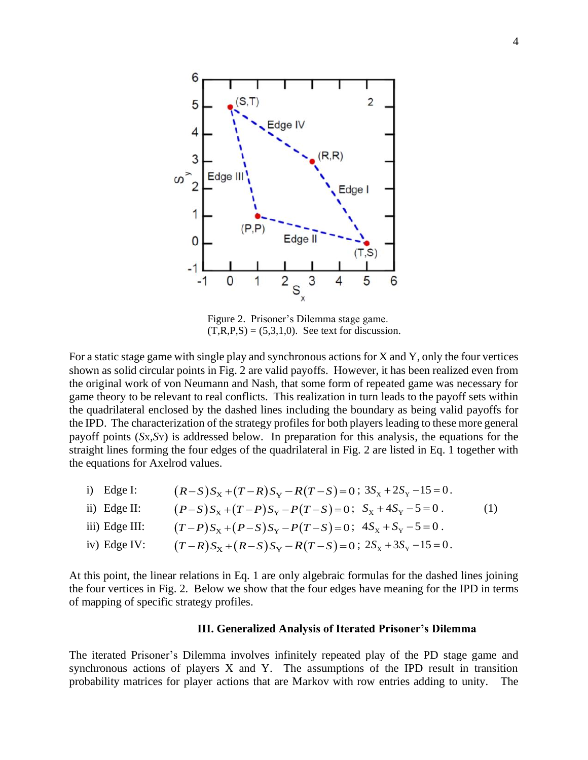

Figure 2. Prisoner's Dilemma stage game.  $(T,R,P,S) = (5,3,1,0)$ . See text for discussion.

For a static stage game with single play and synchronous actions for X and Y, only the four vertices shown as solid circular points in Fig. 2 are valid payoffs. However, it has been realized even from the original work of von Neumann and Nash, that some form of repeated game was necessary for game theory to be relevant to real conflicts. This realization in turn leads to the payoff sets within the quadrilateral enclosed by the dashed lines including the boundary as being valid payoffs for the IPD. The characterization of the strategy profiles for both players leading to these more general payoff points (*S*X,*S*Y) is addressed below. In preparation for this analysis, the equations for the straight lines forming the four edges of the quadrilateral in Fig. 2 are listed in Eq. 1 together with the equations for Axelrod values.

i) Edge I: 
$$
(R-S)S_x + (T-R)S_y - R(T-S) = 0
$$
;  $3S_x + 2S_y - 15 = 0$ .  
\nii) Edge II:  $(P-S)S_x + (T-P)S_y - P(T-S) = 0$ ;  $S_x + 4S_y - 5 = 0$ .  
\niii) Edge III:  $(T-P)S_x + (P-S)S_y - P(T-S) = 0$ ;  $4S_x + S_y - 5 = 0$ .  
\niv) Edge IV:  $(T-R)S_x + (R-S)S_y - R(T-S) = 0$ ;  $2S_x + 3S_y - 15 = 0$ .

At this point, the linear relations in Eq. 1 are only algebraic formulas for the dashed lines joining the four vertices in Fig. 2. Below we show that the four edges have meaning for the IPD in terms of mapping of specific strategy profiles.

# **III. Generalized Analysis of Iterated Prisoner's Dilemma**

The iterated Prisoner's Dilemma involves infinitely repeated play of the PD stage game and synchronous actions of players X and Y. The assumptions of the IPD result in transition probability matrices for player actions that are Markov with row entries adding to unity. The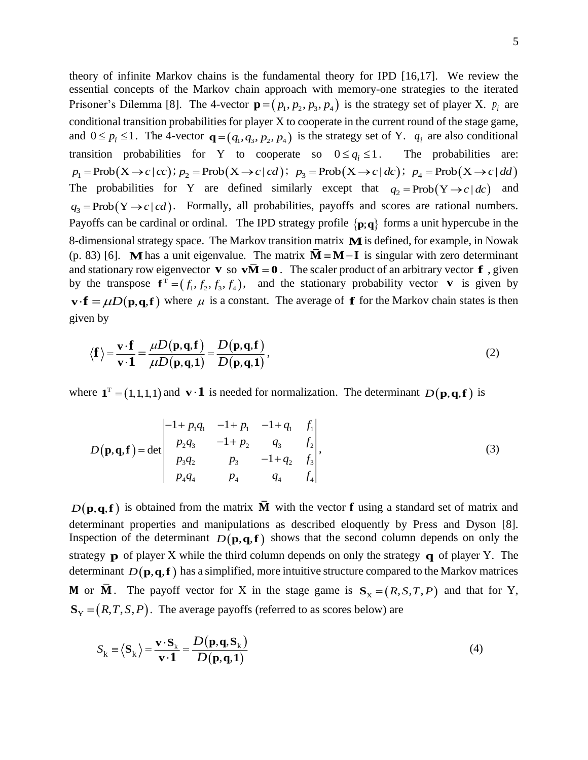theory of infinite Markov chains is the fundamental theory for IPD [16,17]. We review the essential concepts of the Markov chain approach with memory-one strategies to the iterated Prisoner's Dilemma [8]. The 4-vector  $\mathbf{p} = (p_1, p_2, p_3, p_4)$  is the strategy set of player X.  $p_i$  are conditional transition probabilities for player X to cooperate in the current round of the stage game, and  $0 \le p_i \le 1$ . The 4-vector  $\mathbf{q} = (q_1, q_3, p_2, p_4)$  is the strategy set of Y.  $q_i$  are also conditional transition probabilities for Y to cooperate so  $0 \le q_i \le 1$ . The probabilities are:  $p_1 = \text{Prob}(X \rightarrow c \mid cc); p_2 = \text{Prob}(X \rightarrow c \mid cd); p_3 = \text{Prob}(X \rightarrow c \mid dc); p_4 = \text{Prob}(X \rightarrow c \mid dd)$ The probabilities for Y are defined similarly except that  $q_2 = \text{Prob}(Y \rightarrow c \mid dc)$  and  $q_3 = \text{Prob}(Y \rightarrow c | cd)$ . Formally, all probabilities, payoffs and scores are rational numbers. Payoffs can be cardinal or ordinal. The IPD strategy profile  $\{p;q\}$  forms a unit hypercube in the 8-dimensional strategy space. The Markov transition matrix **M** is defined, for example, in Nowak (p. 83) [6]. **M** has a unit eigenvalue. The matrix  $\mathbf{\overline{M}} = \mathbf{M} - \mathbf{I}$  is singular with zero determinant and stationary row eigenvector **v** so  $v\overline{M} = 0$ . The scaler product of an arbitrary vector **f**, given by the transpose  $f^T = (f_1, f_2, f_3, f_4)$ , and the stationary probability vector **v** is given by  $\mathbf{v} \cdot \mathbf{f} = \mu D(\mathbf{p}, \mathbf{q}, \mathbf{f})$  where  $\mu$  is a constant. The average of **f** for the Markov chain states is then given by

$$
\langle \mathbf{f} \rangle = \frac{\mathbf{v} \cdot \mathbf{f}}{\mathbf{v} \cdot \mathbf{1}} = \frac{\mu D(\mathbf{p}, \mathbf{q}, \mathbf{f})}{\mu D(\mathbf{p}, \mathbf{q}, \mathbf{1})} = \frac{D(\mathbf{p}, \mathbf{q}, \mathbf{f})}{D(\mathbf{p}, \mathbf{q}, \mathbf{1})},
$$
(2)

where  $\mathbf{1}^T = (1,1,1,1)$  and  $\mathbf{v} \cdot \mathbf{1}$  is needed for normalization. The determinant  $D(\mathbf{p}, \mathbf{q}, \mathbf{f})$  is

$$
D(\mathbf{p}, \mathbf{q}, \mathbf{f}) = \det \begin{vmatrix} -1 + p_1 q_1 & -1 + p_1 & -1 + q_1 & f_1 \\ p_2 q_3 & -1 + p_2 & q_3 & f_2 \\ p_3 q_2 & p_3 & -1 + q_2 & f_3 \\ p_4 q_4 & p_4 & q_4 & f_4 \end{vmatrix},
$$
(3)

 $D(\mathbf{p}, \mathbf{q}, \mathbf{f})$  is obtained from the matrix **M** with the vector **f** using a standard set of matrix and determinant properties and manipulations as described eloquently by Press and Dyson [8]. Inspection of the determinant  $D(p,q,f)$  shows that the second column depends on only the strategy  $\bf{p}$  of player X while the third column depends on only the strategy  $\bf{q}$  of player Y. The determinant  $D(\mathbf{p},\mathbf{q},\mathbf{f})$  has a simplified, more intuitive structure compared to the Markov matrices **M** or **M**. The payoff vector for X in the stage game is  $S_x = (R, S, T, P)$  and that for Y,  $\mathbf{S}_{\mathbf{Y}} = (R, T, S, P)$ . The average payoffs (referred to as scores below) are

$$
S_{k} \equiv \langle S_{k} \rangle = \frac{\mathbf{v} \cdot S_{k}}{\mathbf{v} \cdot \mathbf{1}} = \frac{D(\mathbf{p}, \mathbf{q}, S_{k})}{D(\mathbf{p}, \mathbf{q}, \mathbf{1})}
$$
(4)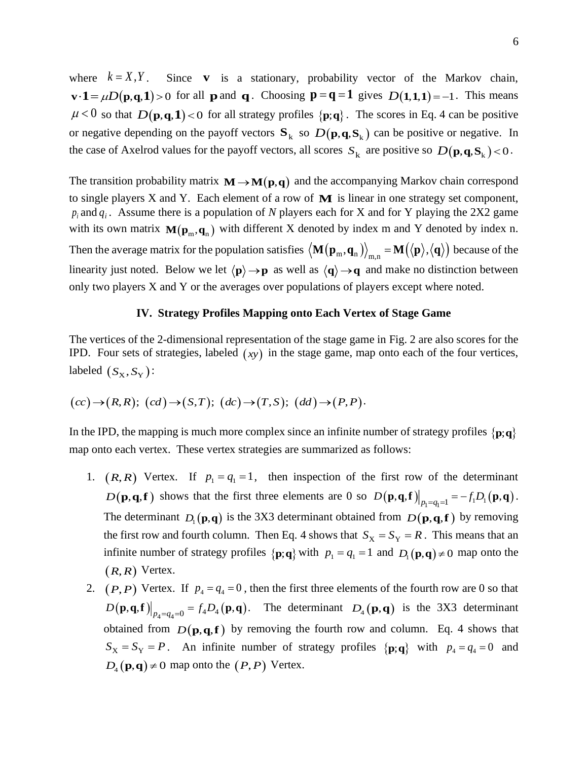where  $k = X, Y$  $Y$ . Since **v** is a stationary, probability vector of the Markov chain,  $\mathbf{v} \cdot \mathbf{1} = \mu D(\mathbf{p}, \mathbf{q}, \mathbf{1}) > 0$  for all **p** and **q**. Choosing  $\mathbf{p} = \mathbf{q} = 1$  gives  $D(\mathbf{1}, \mathbf{1}, \mathbf{1}) = -1$ . This means  $\mu$  < 0 so that  $D(\mathbf{p}, \mathbf{q}, \mathbf{1})$  < 0 for all strategy profiles  $\{\mathbf{p}; \mathbf{q}\}\$ . The scores in Eq. 4 can be positive or negative depending on the payoff vectors  $S_k$  so  $D(p,q,S_k)$  can be positive or negative. In the case of Axelrod values for the payoff vectors, all scores  $S_k$  are positive so  $D(p,q,S_k)$  < 0.

The transition probability matrix  $M \rightarrow M(p,q)$  and the accompanying Markov chain correspond to single players X and Y. Each element of a row of **M** is linear in one strategy set component,  $p_i$  and  $q_i$ . Assume there is a population of *N* players each for X and for Y playing the 2X2 game with its own matrix  $\mathbf{M}(\mathbf{p}_m, \mathbf{q}_n)$  with different X denoted by index m and Y denoted by index n. Then the average matrix for the population satisfies  $\left<\mathbf{M}\!\left(\mathbf{p}_\mathrm{m},\mathbf{q}_\mathrm{n}\right)\right>_\mathrm{m,n}=\mathbf{M}\!\left(\left<\mathbf{p}\right>,\left<\mathbf{q}\right>\right)$  because of the linearity just noted. Below we let  $\langle \mathbf{p} \rangle \rightarrow \mathbf{p}$  as well as  $\langle \mathbf{q} \rangle \rightarrow \mathbf{q}$  and make no distinction between only two players X and Y or the averages over populations of players except where noted.

# **IV. Strategy Profiles Mapping onto Each Vertex of Stage Game**

The vertices of the 2-dimensional representation of the stage game in Fig. 2 are also scores for the IPD. Four sets of strategies, labeled  $(xy)$  in the stage game, map onto each of the four vertices, labeled  $(S_X, S_Y)$ :

$$
(cc) \rightarrow (R,R); (cd) \rightarrow (S,T); (dc) \rightarrow (T,S); (dd) \rightarrow (P,P).
$$

In the IPD, the mapping is much more complex since an infinite number of strategy profiles  $\{p;q\}$ map onto each vertex. These vertex strategies are summarized as follows:

- 1.  $(R, R)$  Vertex. If  $p_1 = q_1 = 1$ , then inspection of the first row of the determinant  $D(\mathbf{p}, \mathbf{q}, \mathbf{f})$  shows that the first three elements are 0 so  $D(\mathbf{p}, \mathbf{q}, \mathbf{f})\big|_{p_1=q_1=1} = -f_1D_1(\mathbf{p}, \mathbf{q})$ . The determinant  $D_1(\mathbf{p}, \mathbf{q})$  is the 3X3 determinant obtained from  $D(\mathbf{p}, \mathbf{q}, \mathbf{f})$  by removing the first row and fourth column. Then Eq. 4 shows that  $S_X = S_Y = R$ . This means that an infinite number of strategy profiles  $\{p; q\}$  with  $p_1 = q_1 = 1$  and  $D_1(p,q) \neq 0$  map onto the  $(R, R)$  Vertex.
- 2.  $(P, P)$  Vertex. If  $p_4 = q_4 = 0$ , then the first three elements of the fourth row are 0 so that  $D(\mathbf{p}, \mathbf{q}, \mathbf{f})\big|_{p_4=q_4=0} = f_4 D_4(\mathbf{p}, \mathbf{q}).$  The determinant  $D_4(\mathbf{p}, \mathbf{q})$  is the 3X3 determinant obtained from  $D(p,q,f)$  by removing the fourth row and column. Eq. 4 shows that  $S_X = S_Y = P$ . An infinite number of strategy profiles  $\{p; q\}$  with  $p_4 = q_4 = 0$  and  $D_4(\mathbf{p}, \mathbf{q}) \neq 0$  map onto the  $(P, P)$  Vertex.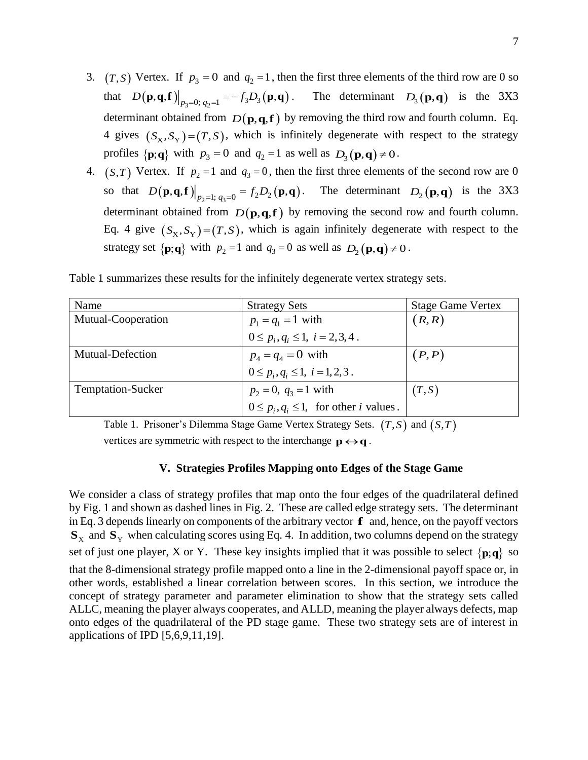- 3.  $(T, S)$  Vertex. If  $p_3 = 0$  and  $q_2 = 1$ , then the first three elements of the third row are 0 so that  $D(\mathbf{p}, \mathbf{q}, \mathbf{f})\Big|_{p_3=0; q_2=1} = -f_3 D_3(\mathbf{p}, \mathbf{q})$ . The determinant  $D_3(\mathbf{p}, \mathbf{q})$  is the 3X3 determinant obtained from  $D(p,q,f)$  by removing the third row and fourth column. Eq. 4 gives  $(S_X, S_Y) = (T, S)$ , which is infinitely degenerate with respect to the strategy profiles  $\{p; q\}$  with  $p_3 = 0$  and  $q_2 = 1$  as well as  $D_3(p, q) \neq 0$ .
- 4.  $(S,T)$  Vertex. If  $p_2 = 1$  and  $q_3 = 0$ , then the first three elements of the second row are 0 so that  $D(\mathbf{p}, \mathbf{q}, \mathbf{f})|_{p_2=1; q_3=0} = f_2 D_2(\mathbf{p}, \mathbf{q}).$  The determinant  $D_2(\mathbf{p}, \mathbf{q})$  is the 3X3 determinant obtained from  $D(p,q,f)$  by removing the second row and fourth column. Eq. 4 give  $(S_X, S_Y) = (T, S)$ , which is again infinitely degenerate with respect to the strategy set  $\{p; q\}$  with  $p_2 = 1$  and  $q_3 = 0$  as well as  $D_2(p, q) \neq 0$ .

| Name                     | <b>Strategy Sets</b>                                                              | <b>Stage Game Vertex</b> |
|--------------------------|-----------------------------------------------------------------------------------|--------------------------|
| Mutual-Cooperation       |                                                                                   | (R,R)                    |
|                          | $p_1 = q_1 = 1$ with<br>$0 \le p_i, q_i \le 1, i = 2, 3, 4$ .                     |                          |
| <b>Mutual-Defection</b>  | $p_4 = q_4 = 0$ with<br>$0 \le p_i, q_i \le 1, i = 1, 2, 3$ .                     | (P, P)                   |
|                          |                                                                                   |                          |
| <b>Temptation-Sucker</b> |                                                                                   | (T, S)                   |
|                          | $p_2 = 0$ , $q_3 = 1$ with<br>$0 \le p_i, q_i \le 1$ , for other <i>i</i> values. |                          |

Table 1 summarizes these results for the infinitely degenerate vertex strategy sets.

Table 1. Prisoner's Dilemma Stage Game Vertex Strategy Sets.  $(T, S)$  and  $(S, T)$ 

vertices are symmetric with respect to the interchange  $\mathbf{p} \leftrightarrow \mathbf{q}$ .

## **V. Strategies Profiles Mapping onto Edges of the Stage Game**

We consider a class of strategy profiles that map onto the four edges of the quadrilateral defined by Fig. 1 and shown as dashed lines in Fig. 2. These are called edge strategy sets. The determinant in Eq. 3 depends linearly on components of the arbitrary vector **f** and, hence, on the payoff vectors  $\mathbf{S}_x$  and  $\mathbf{S}_y$  when calculating scores using Eq. 4. In addition, two columns depend on the strategy set of just one player, X or Y. These key insights implied that it was possible to select  $\{p;q\}$  so that the 8-dimensional strategy profile mapped onto a line in the 2-dimensional payoff space or, in other words, established a linear correlation between scores. In this section, we introduce the concept of strategy parameter and parameter elimination to show that the strategy sets called ALLC, meaning the player always cooperates, and ALLD, meaning the player always defects, map onto edges of the quadrilateral of the PD stage game. These two strategy sets are of interest in applications of IPD [5,6,9,11,19].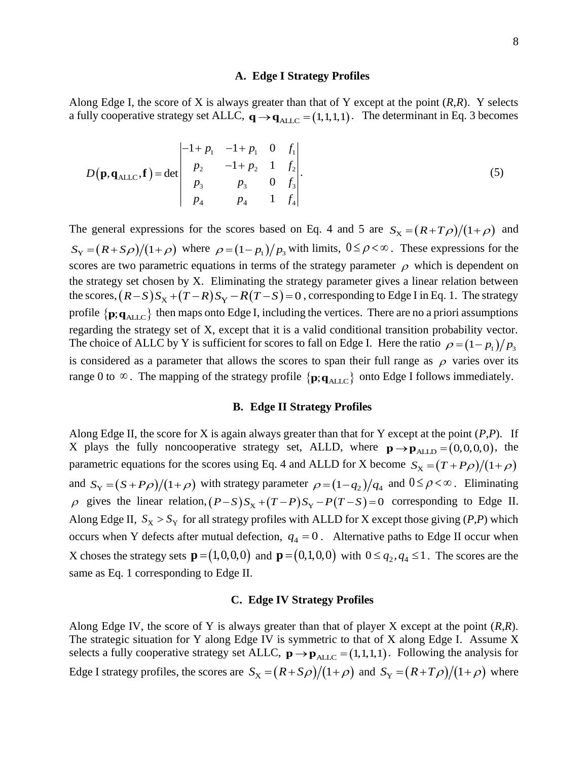### **A. Edge I Strategy Profiles**

Along Edge I, the score of X is always greater than that of Y except at the point (*R*,*R*). Y selects a fully cooperative strategy set ALLC,  $\mathbf{q} \rightarrow \mathbf{q}_{\text{ALLC}} = (1,1,1,1)$ . The determinant in Eq. 3 becomes

$$
D(\mathbf{p}, \mathbf{q}_{\text{ALLC}}, \mathbf{f}) = \det \begin{vmatrix} -1 + p_1 & -1 + p_1 & 0 & f_1 \\ p_2 & -1 + p_2 & 1 & f_2 \\ p_3 & p_3 & 0 & f_3 \\ p_4 & p_4 & 1 & f_4 \end{vmatrix}.
$$
 (5)

The general expressions for the scores based on Eq. 4 and 5 are  $S_X = (R + T\rho)/(1 + \rho)$  and  $S_Y = (R + S\rho)/(1 + \rho)$  where  $\rho = (1 - p_1)/p_3$  with limits,  $0 \le \rho < \infty$ . These expressions for the scores are two parametric equations in terms of the strategy parameter  $\rho$  which is dependent on the strategy set chosen by X. Eliminating the strategy parameter gives a linear relation between the scores,  $(R-S)S_X + (T-R)S_Y - R(T-S) = 0$ , corresponding to Edge I in Eq. 1. The strategy profile  $\{p; q_{\text{ALLC}}\}$  then maps onto Edge I, including the vertices. There are no a priori assumptions regarding the strategy set of X, except that it is a valid conditional transition probability vector. The choice of ALLC by Y is sufficient for scores to fall on Edge I. Here the ratio  $\rho = (1 - p_1)/p_3$ is considered as a parameter that allows the scores to span their full range as  $\rho$  varies over its range 0 to  $\infty$ . The mapping of the strategy profile  $\{p; q_{\text{ALLC}}\}$  onto Edge I follows immediately.

### **B. Edge II Strategy Profiles**

Along Edge II, the score for X is again always greater than that for Y except at the point (*P*,*P*). If X plays the fully noncooperative strategy set, ALLD, where  $\mathbf{p} \rightarrow \mathbf{p}_{\text{ALLD}} = (0,0,0,0)$ , the parametric equations for the scores using Eq. 4 and ALLD for X become  $S_X = (T + P\rho)/(1 + \rho)$ and  $S_Y = (S + P\rho)/(1 + \rho)$  with strategy parameter  $\rho = (1 - q_2)/q_4$  and  $0 \le \rho < \infty$ . Eliminating  $\rho$  gives the linear relation,  $(P-S)S_X + (T-P)S_Y - P(T-S) = 0$  corresponding to Edge II. Along Edge II,  $S_X > S_Y$  for all strategy profiles with ALLD for X except those giving (*P*,*P*) which occurs when Y defects after mutual defection,  $q_4 = 0$ . Alternative paths to Edge II occur when X choses the strategy sets  $\mathbf{p} = (1,0,0,0)$  and  $\mathbf{p} = (0,1,0,0)$  with  $0 \le q_2, q_4 \le 1$ . The scores are the same as Eq. 1 corresponding to Edge II.

# **C. Edge IV Strategy Profiles**

Along Edge IV, the score of Y is always greater than that of player X except at the point (*R*,*R*). The strategic situation for Y along Edge IV is symmetric to that of X along Edge I. Assume X selects a fully cooperative strategy set ALLC,  $\mathbf{p} \rightarrow \mathbf{p}_{\text{ALLC}} = (1,1,1,1)$ . Following the analysis for Edge I strategy profiles, the scores are  $S_X = (R + S\rho)/(1 + \rho)$  and  $S_Y = (R + T\rho)/(1 + \rho)$  where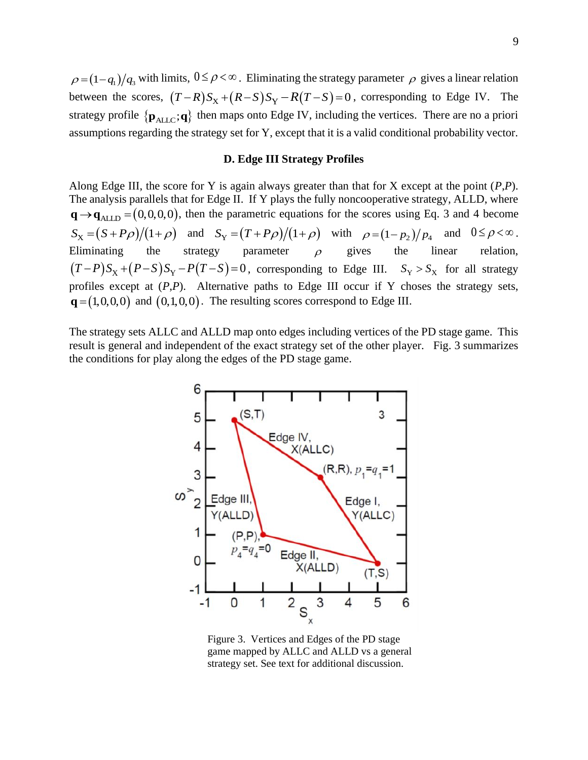$\rho = (1 - q_1)/q_3$  with limits,  $0 \le \rho < \infty$ . Eliminating the strategy parameter  $\rho$  gives a linear relation between the scores,  $(T-R)S_X + (R-S)S_Y - R(T-S) = 0$ , corresponding to Edge IV. The strategy profile  $\{p_{\text{ALLC}}; q\}$  then maps onto Edge IV, including the vertices. There are no a priori assumptions regarding the strategy set for Y, except that it is a valid conditional probability vector.

# **D. Edge III Strategy Profiles**

Along Edge III, the score for Y is again always greater than that for X except at the point (*P*,*P*). The analysis parallels that for Edge II. If Y plays the fully noncooperative strategy, ALLD, where  $\mathbf{q} \rightarrow \mathbf{q}_{\text{ALLD}} = (0,0,0,0)$ , then the parametric equations for the scores using Eq. 3 and 4 become  $S_X = (S + P\rho)/(1 + \rho)$  and  $S_Y = (T + P\rho)/(1 + \rho)$  with  $\rho = (1 - p_2)/p_4$  and  $0 \le \rho < \infty$ . Eliminating the strategy parameter  $\rho$ gives the linear relation,  $(T-P)S_X+(P-S)S_Y-P(T-S)=0$ , corresponding to Edge III.  $S_Y>S_X$  for all strategy profiles except at (*P*,*P*). Alternative paths to Edge III occur if Y choses the strategy sets,  $\mathbf{q} = (1,0,0,0)$  and  $(0,1,0,0)$ . The resulting scores correspond to Edge III.

The strategy sets ALLC and ALLD map onto edges including vertices of the PD stage game. This result is general and independent of the exact strategy set of the other player. Fig. 3 summarizes the conditions for play along the edges of the PD stage game.



Figure 3. Vertices and Edges of the PD stage game mapped by ALLC and ALLD vs a general strategy set. See text for additional discussion.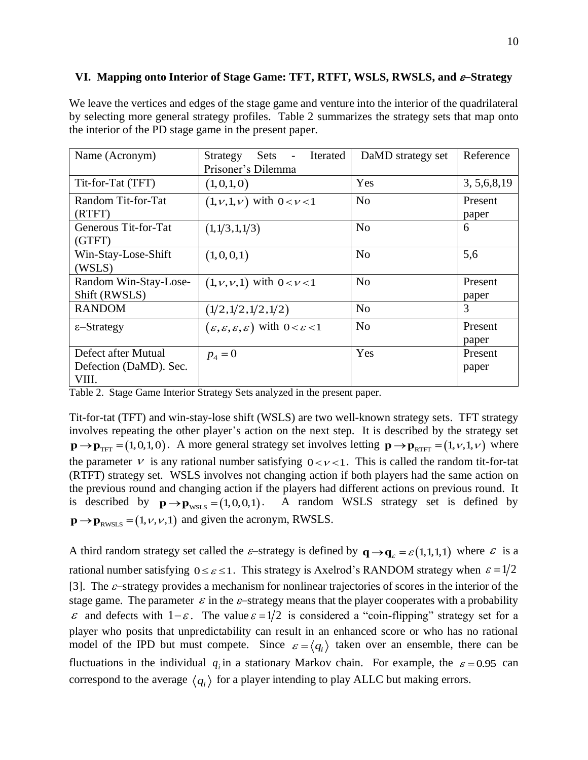# **VI. Mapping onto Interior of Stage Game: TFT, RTFT, WSLS, RWSLS, and** −**Strategy**

We leave the vertices and edges of the stage game and venture into the interior of the quadrilateral by selecting more general strategy profiles. Table 2 summarizes the strategy sets that map onto the interior of the PD stage game in the present paper.

| Name (Acronym)                                         | Sets<br>Iterated<br>Strategy<br>$\overline{\phantom{a}}$<br>Prisoner's Dilemma    | DaMD strategy set | Reference        |
|--------------------------------------------------------|-----------------------------------------------------------------------------------|-------------------|------------------|
| Tit-for-Tat (TFT)                                      | (1,0,1,0)                                                                         | Yes               | 3, 5, 6, 8, 19   |
| Random Tit-for-Tat<br>(RTFT)                           | $(1, v, 1, v)$ with $0 < v < 1$                                                   | N <sub>0</sub>    | Present<br>paper |
| Generous Tit-for-Tat<br>(GTFT)                         | (1,1/3,1,1/3)                                                                     | No                | 6                |
| Win-Stay-Lose-Shift<br>(WSLS)                          | (1,0,0,1)                                                                         | No                | 5,6              |
| Random Win-Stay-Lose-<br>Shift (RWSLS)                 | $(1, \nu, \nu, 1)$ with $0 < \nu < 1$                                             | N <sub>0</sub>    | Present<br>paper |
| <b>RANDOM</b>                                          | (1/2, 1/2, 1/2, 1/2)                                                              | N <sub>o</sub>    | 3                |
| $\epsilon$ -Strategy                                   | $(\varepsilon, \varepsilon, \varepsilon, \varepsilon)$ with $0 < \varepsilon < 1$ | N <sub>o</sub>    | Present<br>paper |
| Defect after Mutual<br>Defection (DaMD). Sec.<br>VIII. | $p_4 = 0$                                                                         | Yes               | Present<br>paper |

Table 2. Stage Game Interior Strategy Sets analyzed in the present paper.

Tit-for-tat (TFT) and win-stay-lose shift (WSLS) are two well-known strategy sets. TFT strategy involves repeating the other player's action on the next step. It is described by the strategy set  $\mathbf{p} \rightarrow \mathbf{p}_{\text{TFT}} = (1,0,1,0)$ . A more general strategy set involves letting  $\mathbf{p} \rightarrow \mathbf{p}_{\text{RTFT}} = (1,\nu,1,\nu)$  where the parameter  $\nu$  is any rational number satisfying  $0 < \nu < 1$ . This is called the random tit-for-tat (RTFT) strategy set. WSLS involves not changing action if both players had the same action on the previous round and changing action if the players had different actions on previous round. It is described by  $\mathbf{p} \rightarrow \mathbf{p}_{\text{wsls}} = (1,0,0,1)$ . A random WSLS strategy set is defined by  $\mathbf{p} \rightarrow \mathbf{p}_{\text{RWSLS}} = (1, v, v, 1)$  and given the acronym, RWSLS.

A third random strategy set called the  $\varepsilon$ -strategy is defined by  $\mathbf{q} \rightarrow \mathbf{q}_{\varepsilon} = \varepsilon(1,1,1,1)$  where  $\varepsilon$  is a rational number satisfying  $0 \le \varepsilon \le 1$ . This strategy is Axelrod's RANDOM strategy when  $\varepsilon = 1/2$ [3]. The  $\varepsilon$ -strategy provides a mechanism for nonlinear trajectories of scores in the interior of the stage game. The parameter  $\varepsilon$  in the  $\varepsilon$ -strategy means that the player cooperates with a probability  $\varepsilon$  and defects with  $1-\varepsilon$ . The value  $\varepsilon = 1/2$  is considered a "coin-flipping" strategy set for a player who posits that unpredictability can result in an enhanced score or who has no rational model of the IPD but must compete. Since  $\varepsilon = \langle q_i \rangle$  taken over an ensemble, there can be fluctuations in the individual  $q_i$  in a stationary Markov chain. For example, the  $\varepsilon = 0.95$  can correspond to the average  $\langle q_i \rangle$  for a player intending to play ALLC but making errors.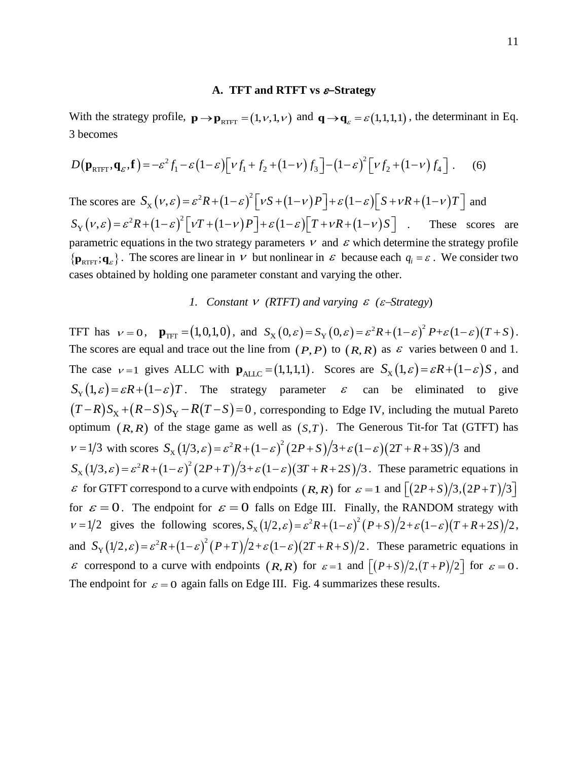## **A. TFT and RTFT vs** −**Strategy**

With the strategy profile,  $\mathbf{p} \rightarrow \mathbf{p}_{\text{RTFT}} = (1, \nu, 1, \nu)$  and  $\mathbf{q} \rightarrow \mathbf{q}_{\varepsilon} = \varepsilon(1, 1, 1, 1)$ , the determinant in Eq. 3 becomes

$$
D(\mathbf{p}_{\text{RTFT}}, \mathbf{q}_{\varepsilon}, \mathbf{f}) = -\varepsilon^2 f_1 - \varepsilon (1 - \varepsilon) \left[ \nu f_1 + f_2 + (1 - \nu) f_3 \right] - (1 - \varepsilon)^2 \left[ \nu f_2 + (1 - \nu) f_4 \right]. \tag{6}
$$

The scores are  $S_x(v,\varepsilon) = \varepsilon^2 R + (1-\varepsilon)^2 [vS + (1-v)P] + \varepsilon (1-\varepsilon) [S + vR + (1-v)T]$  and  $(v,\varepsilon) = \varepsilon^2 R + (1-\varepsilon)^2 \left[ \nu T + (1-\nu) P \right] + \varepsilon (1-\varepsilon) \left[ T + \nu R + (1-\nu) \right]$  $S_Y(v,\varepsilon) = \varepsilon^2 R + (1-\varepsilon)^2 \left[ vT + (1-v)P \right] + \varepsilon (1-\varepsilon) \left[ T + vR + (1-v)S \right]$ These scores are parametric equations in the two strategy parameters  $V$  and  $\epsilon$  which determine the strategy profile  $\{ \mathbf{p}_{\text{RTFT}}; \mathbf{q}_{\varepsilon} \}$ . The scores are linear in  $\nu$  but nonlinear in  $\varepsilon$  because each  $q_i = \varepsilon$ . We consider two cases obtained by holding one parameter constant and varying the other.

# 1. Constant  $V$  (RTFT) and varying  $\varepsilon$  ( $\varepsilon$ -Strategy)

TFT has  $v = 0$ ,  $\mathbf{p}_{\text{TFT}} = (1,0,1,0)$ , and  $S_X(0,\varepsilon) = S_Y(0,\varepsilon) = \varepsilon^2 R + (1-\varepsilon)^2 P + \varepsilon (1-\varepsilon)(T+S)$ . The scores are equal and trace out the line from  $(P, P)$  to  $(R, R)$  as  $\varepsilon$  varies between 0 and 1. The case  $v=1$  gives ALLC with  $\mathbf{p}_{\text{ALLC}} = (1,1,1,1)$ . Scores are  $S_{\text{X}}(1,\varepsilon) = \varepsilon R + (1-\varepsilon)S$ , and  $S_Y(1,\varepsilon) = \varepsilon R + (1-\varepsilon)T$ . The strategy parameter  $\varepsilon$  can be eliminated to give  $(T-R)S_X + (R-S)S_Y - R(T-S) = 0$ , corresponding to Edge IV, including the mutual Pareto optimum  $(R, R)$  of the stage game as well as  $(S, T)$ . The Generous Tit-for Tat (GTFT) has  $v = 1/3$  with scores  $S_x(1/3, \varepsilon) = \varepsilon^2 R + (1-\varepsilon)^2 (2P+S)/3 + \varepsilon (1-\varepsilon)(2T+R+3S)/3$  and  $S_X(1/3,\varepsilon) = \varepsilon^2 R + (1-\varepsilon)^2 (2P+T)/3 + \varepsilon (1-\varepsilon) (3T+R+2S)/3$ . These parametric equations in  $\epsilon$  for GTFT correspond to a curve with endpoints  $(R, R)$  for  $\epsilon = 1$  and  $\left[ (2P + S)/3, (2P + T)/3 \right]$ for  $\varepsilon = 0$ . The endpoint for  $\varepsilon = 0$  falls on Edge III. Finally, the RANDOM strategy with  $v = 1/2$  gives the following scores,  $S_x(1/2, \varepsilon) = \varepsilon^2 R + (1-\varepsilon)^2 (P+S)/2 + \varepsilon (1-\varepsilon)(T+R+2S)/2$ , and  $S_Y(1/2,\varepsilon) = \varepsilon^2 R + (1-\varepsilon)^2 (P+T)/2 + \varepsilon (1-\varepsilon) (2T+R+S)/2$ . These parametric equations in  $\varepsilon$  correspond to a curve with endpoints  $(R, R)$  for  $\varepsilon = 1$  and  $[(P+S)/2,(T+P)/2]$  for  $\varepsilon = 0$ . The endpoint for  $\varepsilon = 0$  again falls on Edge III. Fig. 4 summarizes these results.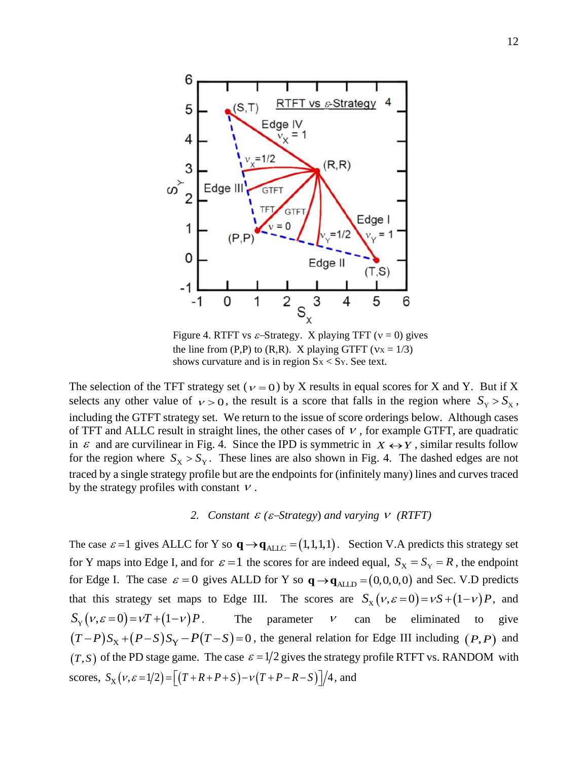

Figure 4. RTFT vs  $\varepsilon$ -Strategy. X playing TFT ( $v = 0$ ) gives the line from  $(P,P)$  to  $(R,R)$ . X playing GTFT ( $Vx = 1/3$ ) shows curvature and is in region  $S_x < S_y$ . See text.

The selection of the TFT strategy set ( $v = 0$ ) by X results in equal scores for X and Y. But if X selects any other value of  $v > 0$ , the result is a score that falls in the region where  $S_v > S_x$ , including the GTFT strategy set. We return to the issue of score orderings below. Although cases of TFT and ALLC result in straight lines, the other cases of  $\nu$ , for example GTFT, are quadratic in  $\varepsilon$  and are curvilinear in Fig. 4. Since the IPD is symmetric in  $X \leftrightarrow Y$ , similar results follow for the region where  $S_X > S_Y$ . These lines are also shown in Fig. 4. The dashed edges are not traced by a single strategy profile but are the endpoints for (infinitely many) lines and curves traced by the strategy profiles with constant  $V$ .

# 2. *Constant*  $\varepsilon$  ( $\varepsilon$ -*Strategy*) *and varying*  $V$  (*RTFT*)

The case  $\varepsilon = 1$  gives ALLC for Y so  $\mathbf{q} \rightarrow \mathbf{q}_{\text{ALLC}} = (1, 1, 1, 1)$ . Section V.A predicts this strategy set for Y maps into Edge I, and for  $\varepsilon = 1$  the scores for are indeed equal,  $S_x = S_y = R$ , the endpoint for Edge I. The case  $\varepsilon = 0$  gives ALLD for Y so  $\mathbf{q} \rightarrow \mathbf{q}_{\text{ALLD}} = (0,0,0,0)$  and Sec. V.D predicts that this strategy set maps to Edge III. The scores are  $S_x (v, \varepsilon = 0) = vS + (1 - v)P$ , and  $S_y (v, \varepsilon = 0) = vT + (1 - v)P$ . The parameter  $\mathcal{V}$ can be eliminated to give  $(T-P)S_X+(P-S)S_Y-P(T-S)=0$ , the general relation for Edge III including  $(P, P)$  and  $(T, S)$  of the PD stage game. The case  $\varepsilon = 1/2$  gives the strategy profile RTFT vs. RANDOM with scores,  $S_X(v, \varepsilon = 1/2) = [(T + R + P + S) - v(T + P - R - S)]/4$ , and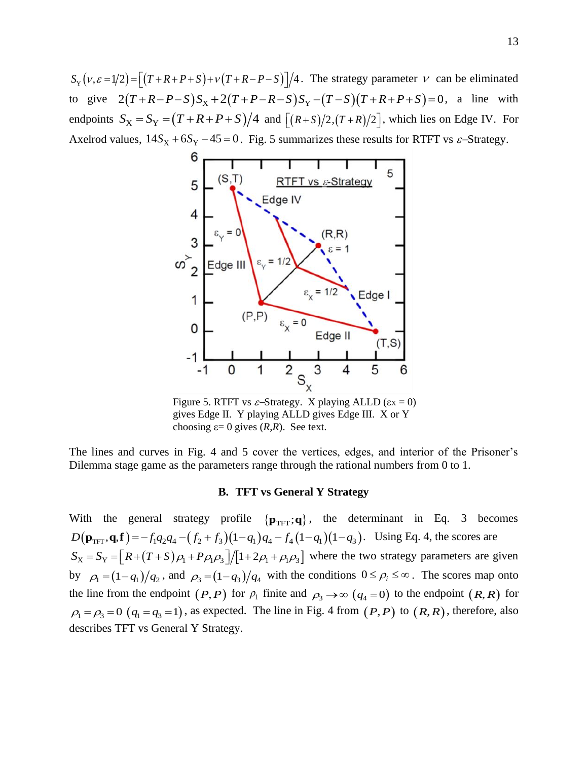$S_Y(v, \varepsilon = 1/2) = [(T + R + P + S) + v(T + R - P - S)]/4$ . The strategy parameter  $v$  can be eliminated to give  $2(T+R-P-S)S_X + 2(T+P-R-S)S_Y - (T-S)(T+R+P+S) = 0$ , a line with endpoints  $S_X = S_Y = (T + R + P + S)/4$  and  $[(R + S)/2,(T + R)/2]$ , which lies on Edge IV. For Axelrod values,  $14S_x + 6S_y - 45 = 0$ . Fig. 5 summarizes these results for RTFT vs  $\varepsilon$ -Strategy.



Figure 5. RTFT vs  $\varepsilon$ -Strategy. X playing ALLD ( $\varepsilon$ x = 0) gives Edge II. Y playing ALLD gives Edge III. X or Y choosing  $\varepsilon = 0$  gives  $(R,R)$ . See text.

The lines and curves in Fig. 4 and 5 cover the vertices, edges, and interior of the Prisoner's Dilemma stage game as the parameters range through the rational numbers from 0 to 1.

## **B. TFT vs General Y Strategy**

With the general strategy profile  $\{ \mathbf{p}_{TFT}; \mathbf{q} \}$ , the determinant in Eq. 3 becomes  $D(\mathbf{p}_{\text{TFT}}, \mathbf{q}, \mathbf{f}) = -f_1 q_2 q_4 - (f_2 + f_3)(1 - q_1) q_4 - f_4 (1 - q_1)(1 - q_3)$ . Using Eq. 4, the scores are  $S_X = S_Y = [R + (T + S)\rho_1 + P\rho_1\rho_3]/[1 + 2\rho_1 + \rho_1\rho_3]$  where the two strategy parameters are given by  $\rho_1 = (1 - q_1)/q_2$ , and  $\rho_3 = (1 - q_3)/q_4$  with the conditions  $0 \le \rho_i \le \infty$ . The scores map onto the line from the endpoint  $(P, P)$  for  $\rho_1$  finite and  $\rho_3 \rightarrow \infty$   $(q_4 = 0)$  to the endpoint  $(R, R)$  for  $\rho_1 = \rho_3 = 0$  ( $q_1 = q_3 = 1$ ), as expected. The line in Fig. 4 from (*P*, *P*) to (*R*, *R*), therefore, also describes TFT vs General Y Strategy.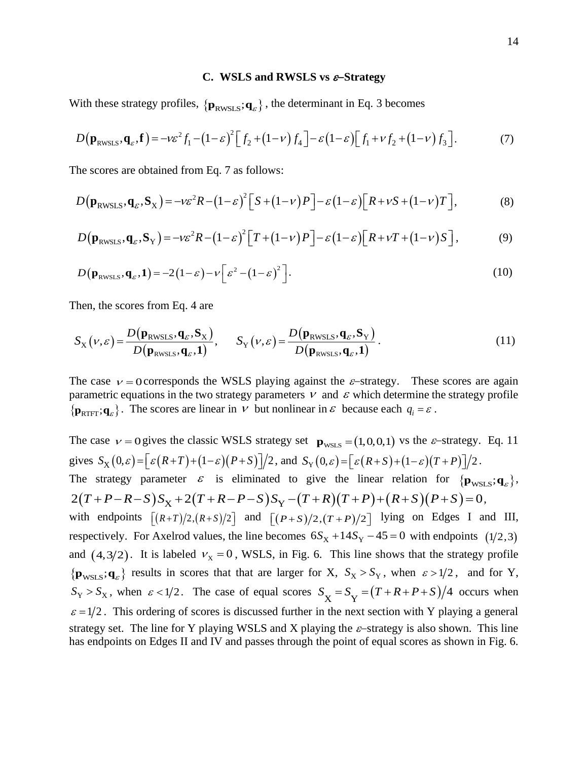#### **C. WSLS and RWSLS vs** −**Strategy**

With these strategy profiles,  $\{ \mathbf{p}_{\text{RWSLS}}; \mathbf{q}_{\varepsilon} \}$ , the determinant in Eq. 3 becomes

$$
D(\mathbf{p}_{\text{RWSLS}}, \mathbf{q}_{\varepsilon}, \mathbf{f}) = -\nu \varepsilon^2 f_1 - (1 - \varepsilon)^2 \Big[ f_2 + (1 - \nu) f_4 \Big] - \varepsilon (1 - \varepsilon) \Big[ f_1 + \nu f_2 + (1 - \nu) f_3 \Big]. \tag{7}
$$

The scores are obtained from Eq. 7 as follows:

$$
D(\mathbf{p}_{\text{RWSLS}}, \mathbf{q}_{\varepsilon}, \mathbf{S}_{X}) = -\nu \varepsilon^{2} R - (1 - \varepsilon)^{2} \left[ S + (1 - \nu) P \right] - \varepsilon (1 - \varepsilon) \left[ R + \nu S + (1 - \nu) T \right],
$$
(8)

$$
D(\mathbf{p}_{\text{RWSLS}}, \mathbf{q}_{\varepsilon}, \mathbf{S}_{\text{Y}}) = -\nu \varepsilon^2 R - (1 - \varepsilon)^2 \left[ T + (1 - \nu) P \right] - \varepsilon (1 - \varepsilon) \left[ R + \nu T + (1 - \nu) S \right],\tag{9}
$$

$$
D(\mathbf{p}_{\text{RWSLS}}, \mathbf{q}_{\varepsilon}, \mathbf{1}) = -2(1 - \varepsilon) - \nu \left[ \varepsilon^2 - (1 - \varepsilon)^2 \right].
$$
 (10)

Then, the scores from Eq. 4 are

$$
S_{\rm X}(\nu,\varepsilon) = \frac{D(\mathbf{p}_{\rm RWSLS}, \mathbf{q}_{\varepsilon}, \mathbf{S}_{\rm X})}{D(\mathbf{p}_{\rm RWSLS}, \mathbf{q}_{\varepsilon}, \mathbf{1})}, \quad S_{\rm Y}(\nu,\varepsilon) = \frac{D(\mathbf{p}_{\rm RWSLS}, \mathbf{q}_{\varepsilon}, \mathbf{S}_{\rm Y})}{D(\mathbf{p}_{\rm RWSLS}, \mathbf{q}_{\varepsilon}, \mathbf{1})}.
$$
(11)

The case  $v = 0$  corresponds the WSLS playing against the  $\varepsilon$ -strategy. These scores are again parametric equations in the two strategy parameters  $\nu$  and  $\varepsilon$  which determine the strategy profile  $\{ \mathbf{p}_{\text{RTFT}}; \mathbf{q}_{\varepsilon} \}$ . The scores are linear in  $\nu$  but nonlinear in  $\varepsilon$  because each  $q_i = \varepsilon$ .

The case  $v = 0$  gives the classic WSLS strategy set  $\mathbf{p}_{\text{wSLS}} = (1, 0, 0, 1)$  vs the  $\varepsilon$ -strategy. Eq. 11 gives  $S_X(0,\varepsilon) = \left[\varepsilon (R+T)+(1-\varepsilon)(P+S)\right]/2$ , and  $S_Y(0,\varepsilon) = \left[\varepsilon (R+S)+(1-\varepsilon)(T+P)\right]/2$ . The strategy parameter  $\varepsilon$  is eliminated to give the linear relation for  $\{p_{\text{wSLS}}; q_{\varepsilon}\}\,$  $2(T+P-R-S)S_X+2(T+R-P-S)S_Y-(T+R)(T+P)+(R+S)(P+S)=0,$ with endpoints  $[(R+T)/2,(R+S)/2]$  and  $[(P+S)/2,(T+P)/2]$  lying on Edges I and III, respectively. For Axelrod values, the line becomes  $6S_X + 14S_Y - 45 = 0$  with endpoints  $(1/2,3)$ and  $(4,3/2)$ . It is labeled  $v_x = 0$ , WSLS, in Fig. 6. This line shows that the strategy profile  $\{$ **p**<sub>WSLS</sub>; $\{$ **q**<sub> $\varepsilon$ </sub> $\}$  results in scores that that are larger for X,  $S_X > S_Y$ , when  $\varepsilon > 1/2$ , and for Y,  $S_Y > S_X$ , when  $\varepsilon < 1/2$ . The case of equal scores  $S_X = S_Y = (T + R + P + S)/4$  occurs when  $\varepsilon = 1/2$ . This ordering of scores is discussed further in the next section with Y playing a general strategy set. The line for Y playing WSLS and X playing the  $\varepsilon$ -strategy is also shown. This line has endpoints on Edges II and IV and passes through the point of equal scores as shown in Fig. 6.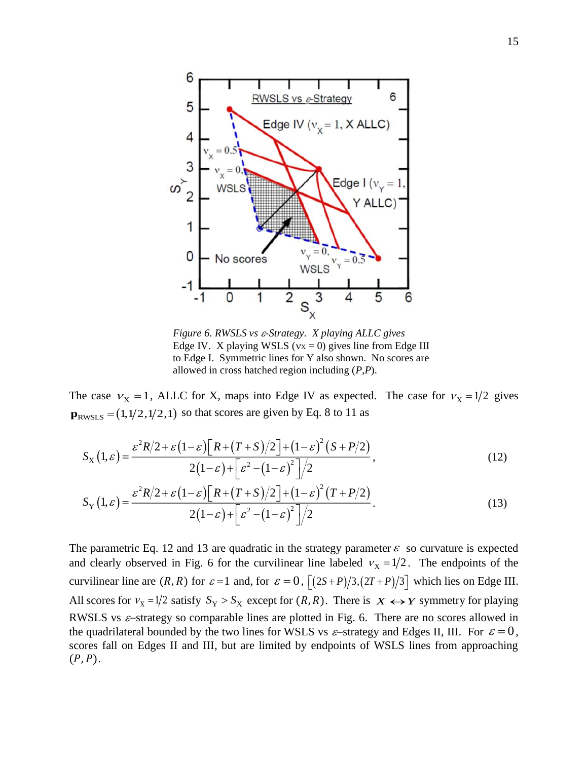

*Figure 6. RWSLS vs -Strategy. X playing ALLC gives* Edge IV. X playing WSLS ( $vx = 0$ ) gives line from Edge III to Edge I. Symmetric lines for Y also shown. No scores are allowed in cross hatched region including (*P*,*P*).

The case  $v_x = 1$ , ALLC for X, maps into Edge IV as expected. The case for  $v_x = 1/2$  gives  $\mathbf{p}_{\text{RWSLS}} = (1,1/2,1/2,1)$  so that scores are given by Eq. 8 to 11 as

$$
S_X(1,\varepsilon) = \frac{\varepsilon^2 R/2 + \varepsilon (1-\varepsilon) \left[ R + (T+S)/2 \right] + (1-\varepsilon)^2 (S+P/2)}{2(1-\varepsilon) + \left[ \varepsilon^2 - (1-\varepsilon)^2 \right] / 2},\tag{12}
$$

$$
S_{\rm Y}(1,\varepsilon) = \frac{\varepsilon^2 R/2 + \varepsilon (1-\varepsilon) \left[ R + (T+S)/2 \right] + (1-\varepsilon)^2 (T+P/2)}{2(1-\varepsilon) + \left[ \varepsilon^2 - (1-\varepsilon)^2 \right] / 2}.
$$
\n(13)

The parametric Eq. 12 and 13 are quadratic in the strategy parameter  $\varepsilon$  so curvature is expected and clearly observed in Fig. 6 for the curvilinear line labeled  $v_x = 1/2$ . The endpoints of the curvilinear line are  $(R, R)$  for  $\varepsilon = 1$  and, for  $\varepsilon = 0$ ,  $\left[ (2S + P)/3, (2T + P)/3 \right]$  which lies on Edge III. All scores for  $v_x = 1/2$  satisfy  $S_y > S_x$  except for  $(R, R)$ . There is  $X \leftrightarrow Y$  symmetry for playing RWSLS vs  $\varepsilon$ -strategy so comparable lines are plotted in Fig. 6. There are no scores allowed in the quadrilateral bounded by the two lines for WSLS vs  $\varepsilon$ -strategy and Edges II, III. For  $\varepsilon = 0$ , scores fall on Edges II and III, but are limited by endpoints of WSLS lines from approaching  $(P, P)$ .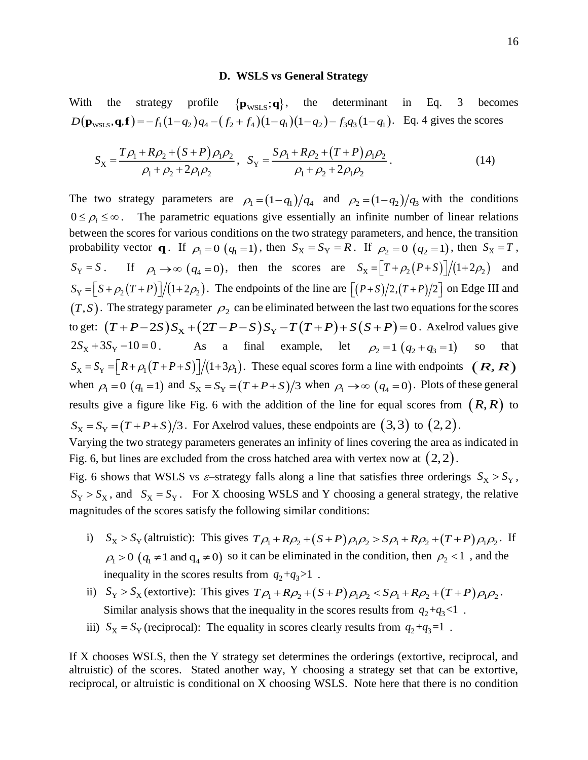#### **D. WSLS vs General Strategy**

With the strategy profile  $\{ \mathbf{p}_{\text{WSLS}}; \mathbf{q} \}$ , the determinant in Eq. 3 becomes  $D(\mathbf{p}_{\text{wsts}}, \mathbf{q}, \mathbf{f}) = -f_1(1-q_2)q_4 - (f_2 + f_4)(1-q_1)(1-q_2) - f_3q_3(1-q_1)$ . Eq. 4 gives the scores

$$
S_X = \frac{T\rho_1 + R\rho_2 + (S+P)\rho_1\rho_2}{\rho_1 + \rho_2 + 2\rho_1\rho_2}, \quad S_Y = \frac{S\rho_1 + R\rho_2 + (T+P)\rho_1\rho_2}{\rho_1 + \rho_2 + 2\rho_1\rho_2}.
$$
 (14)

The two strategy parameters are  $\rho_1 = (1 - q_1)/q_4$  and  $\rho_2 = (1 - q_2)/q_3$  with the conditions  $0 \le \rho_i \le \infty$ . The parametric equations give essentially an infinite number of linear relations between the scores for various conditions on the two strategy parameters, and hence, the transition probability vector **q**. If  $\rho_1 = 0$  ( $q_1 = 1$ ), then  $S_X = S_Y = R$ . If  $\rho_2 = 0$  ( $q_2 = 1$ ), then  $S_X = T$ ,  $S_Y = S$ . If  $\rho_1 \rightarrow \infty$  ( $q_4 = 0$ ), then the scores are  $S_X = \left[T + \rho_2(P + S)\right]/(1 + 2\rho_2)$  and  $S_Y = \left[ S + \rho_2 (T + P) \right] / (1 + 2 \rho_2)$ . The endpoints of the line are  $\left[ (P + S) / 2, (T + P) / 2 \right]$  on Edge III and  $(T, S)$ . The strategy parameter  $\rho_2$  can be eliminated between the last two equations for the scores to get:  $(T+P-2S)S_X+(2T-P-S)S_Y-T(T+P)+S(S+P)=0$ . Axelrod values give  $2S_X + 3S_Y - 10 = 0$ . As a final example, let  $\rho_2 = 1 (q_2 + q_3 = 1)$ so that  $S_X = S_Y = [R + \rho_1(T + P + S)]/(1 + 3\rho_1)$ . These equal scores form a line with endpoints  $(R, R)$ when  $\rho_1 = 0$  ( $q_1 = 1$ ) and  $S_\text{X} = S_\text{Y} = (T + P + S)/3$  when  $\rho_1 \to \infty$  ( $q_4 = 0$ ). Plots of these general results give a figure like Fig. 6 with the addition of the line for equal scores from  $(R, R)$  to  $S_X = S_Y = (T + P + S)/3$ . For Axelrod values, these endpoints are  $(3,3)$  to  $(2,2)$ . Varying the two strategy parameters generates an infinity of lines covering the area as indicated in

Fig. 6 shows that WSLS vs  $\varepsilon$ -strategy falls along a line that satisfies three orderings  $S_x > S_y$ ,  $S_Y > S_X$ , and  $S_X = S_Y$ . For X choosing WSLS and Y choosing a general strategy, the relative magnitudes of the scores satisfy the following similar conditions:

Fig. 6, but lines are excluded from the cross hatched area with vertex now at  $(2,2)$ .

- i)  $S_X > S_Y$  (altruistic): This gives  $T\rho_1 + R\rho_2 + (S+P)\rho_1\rho_2 > S\rho_1 + R\rho_2 + (T+P)\rho_1\rho_2$ . If  $\rho_1 > 0$  ( $q_1 \neq 1$  and  $q_4 \neq 0$ ) so it can be eliminated in the condition, then  $\rho_2 < 1$ , and the inequality in the scores results from  $q_2 + q_3 > 1$ .
- ii)  $S_Y > S_X$  (extortive): This gives  $T\rho_1 + R\rho_2 + (S+P)\rho_1\rho_2 < S\rho_1 + R\rho_2 + (T+P)\rho_1\rho_2$ . Similar analysis shows that the inequality in the scores results from  $q_2 + q_3 < 1$ .
- iii)  $S_X = S_Y$  (reciprocal): The equality in scores clearly results from  $q_2 + q_3 = 1$ .

If X chooses WSLS, then the Y strategy set determines the orderings (extortive, reciprocal, and altruistic) of the scores. Stated another way, Y choosing a strategy set that can be extortive, reciprocal, or altruistic is conditional on X choosing WSLS. Note here that there is no condition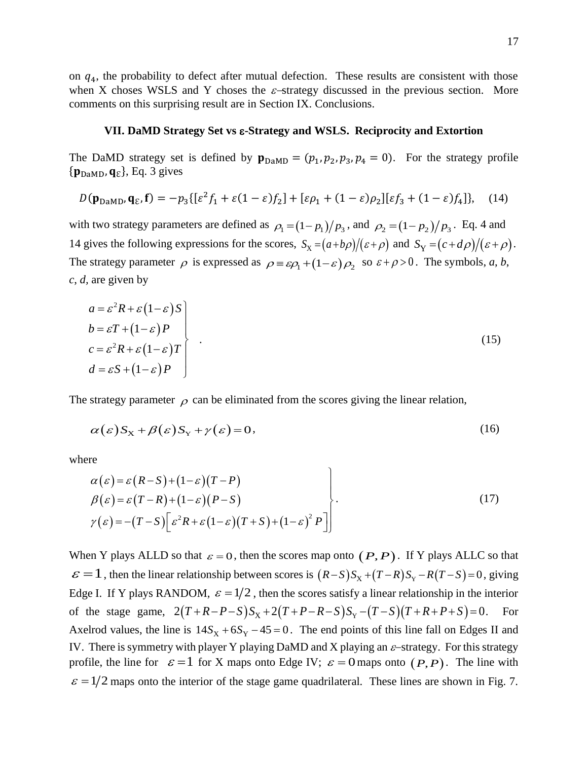on  $q<sub>4</sub>$ , the probability to defect after mutual defection. These results are consistent with those when X choses WSLS and Y choses the  $\varepsilon$ -strategy discussed in the previous section. More comments on this surprising result are in Section IX. Conclusions.

### **VII. DaMD Strategy Set vs -Strategy and WSLS. Reciprocity and Extortion**

The DaMD strategy set is defined by  $\mathbf{p}_{\text{DaMD}} = (p_1, p_2, p_3, p_4 = 0)$ . For the strategy profile  $\{ \mathbf{p}_{\text{DaMD}}, \mathbf{q}_{\varepsilon} \}$ , Eq. 3 gives

$$
D(\mathbf{p}_{\text{DaMD}}, \mathbf{q}_{\varepsilon}, \mathbf{f}) = -p_3\{[\varepsilon^2 f_1 + \varepsilon(1-\varepsilon)f_2] + [\varepsilon\rho_1 + (1-\varepsilon)\rho_2][\varepsilon f_3 + (1-\varepsilon)f_4]\},\quad(14)
$$

with two strategy parameters are defined as  $\rho_1 = (1 - p_1)/p_3$ , and  $\rho_2 = (1 - p_2)/p_3$ . Eq. 4 and 14 gives the following expressions for the scores,  $S_X = (a+b\rho)/(\varepsilon+\rho)$  and  $S_Y = (c+d\rho)/(\varepsilon+\rho)$ . The strategy parameter  $\rho$  is expressed as  $\rho = \varepsilon \rho_1 + (1 - \varepsilon) \rho_2$  so  $\varepsilon + \rho > 0$ . The symbols, *a*, *b*, *c*, *d,* are given by

$$
a = \varepsilon^{2} R + \varepsilon (1 - \varepsilon) S
$$
  
\n
$$
b = \varepsilon T + (1 - \varepsilon) P
$$
  
\n
$$
c = \varepsilon^{2} R + \varepsilon (1 - \varepsilon) T
$$
  
\n
$$
d = \varepsilon S + (1 - \varepsilon) P
$$
\n(15)

The strategy parameter  $\rho$  can be eliminated from the scores giving the linear relation,

$$
\alpha(\varepsilon)S_{\mathbf{X}} + \beta(\varepsilon)S_{\mathbf{Y}} + \gamma(\varepsilon) = 0,\tag{16}
$$

where

$$
\alpha(\varepsilon) = \varepsilon (R - S) + (1 - \varepsilon)(T - P)
$$
  
\n
$$
\beta(\varepsilon) = \varepsilon (T - R) + (1 - \varepsilon)(P - S)
$$
  
\n
$$
\gamma(\varepsilon) = -(T - S) \Big[ \varepsilon^2 R + \varepsilon (1 - \varepsilon)(T + S) + (1 - \varepsilon)^2 P \Big] \Big].
$$
\n(17)

 $\lambda$ 

When Y plays ALLD so that  $\varepsilon = 0$ , then the scores map onto  $(P, P)$ . If Y plays ALLC so that  $\varepsilon = 1$ , then the linear relationship between scores is  $(R-S)S_X + (T-R)S_Y - R(T-S) = 0$ , giving Edge I. If Y plays RANDOM,  $\varepsilon = 1/2$ , then the scores satisfy a linear relationship in the interior of the stage game,  $2(T+R-P-S)S_x+2(T+P-R-S)S_y-(T-S)(T+R+P+S)=0$ . For Axelrod values, the line is  $14S<sub>X</sub> + 6S<sub>Y</sub> - 45 = 0$ . The end points of this line fall on Edges II and IV. There is symmetry with player Y playing DaMD and X playing an  $\varepsilon$ -strategy. For this strategy profile, the line for  $\varepsilon = 1$  for X maps onto Edge IV;  $\varepsilon = 0$  maps onto  $(P, P)$ . The line with  $\varepsilon = 1/2$  maps onto the interior of the stage game quadrilateral. These lines are shown in Fig. 7.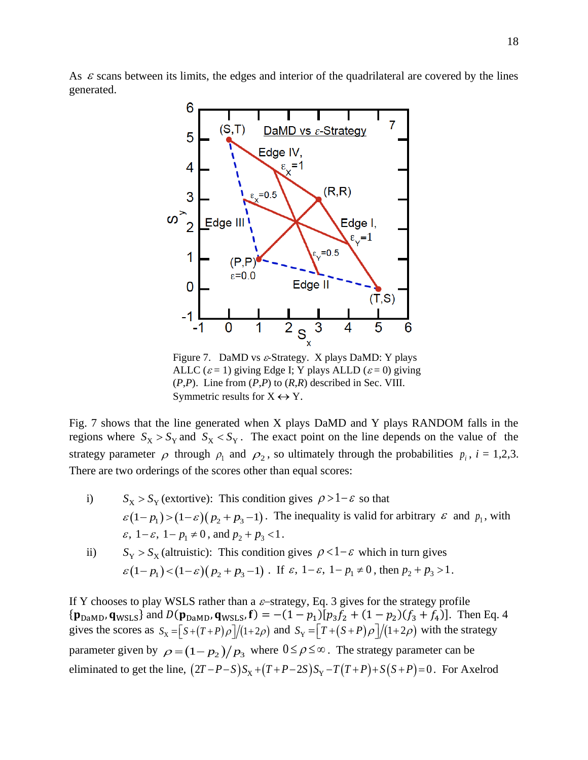As  $\varepsilon$  scans between its limits, the edges and interior of the quadrilateral are covered by the lines generated.



Figure 7. DaMD vs  $\varepsilon$ -Strategy. X plays DaMD: Y plays ALLC ( $\varepsilon$  = 1) giving Edge I; Y plays ALLD ( $\varepsilon$  = 0) giving (*P*,*P*). Line from (*P*,*P*) to (*R*,*R*) described in Sec. VIII. Symmetric results for  $X \leftrightarrow Y$ .

Fig. 7 shows that the line generated when X plays DaMD and Y plays RANDOM falls in the regions where  $S_X > S_Y$  and  $S_X < S_Y$ . The exact point on the line depends on the value of the strategy parameter  $\rho$  through  $\rho_1$  and  $\rho_2$ , so ultimately through the probabilities  $p_i$ ,  $i = 1,2,3$ . There are two orderings of the scores other than equal scores:

i)  $S_X > S_Y$  (extortive): This condition gives  $\rho > 1 - \varepsilon$  so that  $\varepsilon(1-p_1) > (1-\varepsilon)(p_2+p_3-1)$ . The inequality is valid for arbitrary  $\varepsilon$  and  $p_1$ , with  $\varepsilon$ ,  $1 - \varepsilon$ ,  $1 - p_1 \neq 0$ , and  $p_2 + p_3 < 1$ .

ii) 
$$
S_Y > S_X
$$
 (altruistic): This condition gives  $\rho < 1 - \varepsilon$  which in turn gives  
 $\varepsilon (1 - p_1) < (1 - \varepsilon) (p_2 + p_3 - 1)$ . If  $\varepsilon$ ,  $1 - \varepsilon$ ,  $1 - p_1 \neq 0$ , then  $p_2 + p_3 > 1$ .

If Y chooses to play WSLS rather than a  $\varepsilon$ -strategy, Eq. 3 gives for the strategy profile  ${\bf p}_{\text{DaMD}}$ ,  ${\bf q}_{\text{WSLS}}$  and  $D({\bf p}_{\text{DaMD}}$ ,  ${\bf q}_{\text{WSLS}}$ ,  ${\bf f}$  =  $-(1-p_1)[p_3f_2 + (1-p_2)(f_3 + f_4)]$ . Then Eq. 4 gives the scores as  $S_x = [S + (T + P)\rho]/(1+2\rho)$  and  $S_y = [T + (S + P)\rho]/(1+2\rho)$  with the strategy parameter given by  $\rho = (1 - p_2)/p_3$  where  $0 \le \rho \le \infty$ . The strategy parameter can be eliminated to get the line,  $(2T-P-S)S_X + (T+P-2S)S_Y - T(T+P) + S(S+P) = 0$ . For Axelrod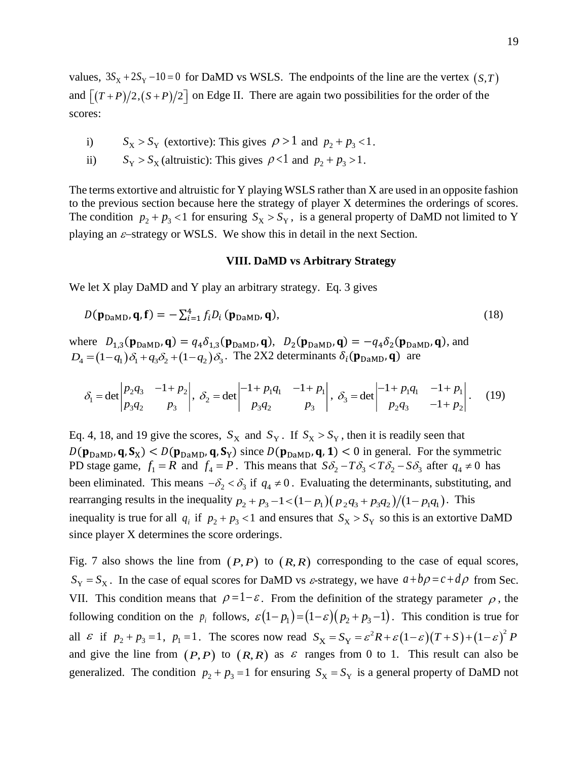values,  $3S_X + 2S_Y - 10 = 0$  for DaMD vs WSLS. The endpoints of the line are the vertex  $(S, T)$ and  $[(T+P)/2,(S+P)/2]$  on Edge II. There are again two possibilities for the order of the scores:

- i)  $S_X > S_Y$  (extortive): This gives  $\rho > 1$  and  $p_2 + p_3 < 1$ .
- ii)  $S_Y > S_X$  (altruistic): This gives  $\rho < 1$  and  $p_2 + p_3 > 1$ .

The terms extortive and altruistic for Y playing WSLS rather than X are used in an opposite fashion to the previous section because here the strategy of player X determines the orderings of scores. The condition  $p_2 + p_3 < 1$  for ensuring  $S_X > S_Y$ , is a general property of DaMD not limited to Y playing an  $\varepsilon$ -strategy or WSLS. We show this in detail in the next Section.

## **VIII. DaMD vs Arbitrary Strategy**

We let X play DaMD and Y play an arbitrary strategy. Eq. 3 gives

$$
D(\mathbf{p}_{\text{DaMD}}, \mathbf{q}, \mathbf{f}) = -\sum_{i=1}^{4} f_i D_i (\mathbf{p}_{\text{DaMD}}, \mathbf{q}),
$$
\n(18)

where  $D_{1,3}(\mathbf{p}_{\text{DaMD}}, \mathbf{q}) = q_4 \delta_{1,3}(\mathbf{p}_{\text{DaMD}}, \mathbf{q}), D_2(\mathbf{p}_{\text{DaMD}}, \mathbf{q}) = -q_4 \delta_2(\mathbf{p}_{\text{DaMD}}, \mathbf{q}),$  and  $D_4 = (1 - q_1)\delta_1 + q_3\delta_2 + (1 - q_2)\delta_3$ . The 2X2 determinants  $\delta_i(\mathbf{p}_{\text{DaMD}}, \mathbf{q})$  are

$$
\delta_1 = \det \begin{vmatrix} p_2 q_3 & -1 + p_2 \\ p_3 q_2 & p_3 \end{vmatrix}, \ \delta_2 = \det \begin{vmatrix} -1 + p_1 q_1 & -1 + p_1 \\ p_3 q_2 & p_3 \end{vmatrix}, \ \delta_3 = \det \begin{vmatrix} -1 + p_1 q_1 & -1 + p_1 \\ p_2 q_3 & -1 + p_2 \end{vmatrix}.
$$
 (19)

Eq. 4, 18, and 19 give the scores,  $S_X$  and  $S_Y$ . If  $S_X > S_Y$ , then it is readily seen that  $D(p_{DaMD}, q, S_X) < D(p_{DaMD}, q, S_Y)$  since  $D(p_{DaMD}, q, 1) < 0$  in general. For the symmetric PD stage game,  $f_1 = R$  and  $f_4 = P$ . This means that  $S\delta_2 - T\delta_3 < T\delta_2 - S\delta_3$  after  $q_4 \neq 0$  has been eliminated. This means  $-\delta_2 < \delta_3$  if  $q_4 \neq 0$ . Evaluating the determinants, substituting, and rearranging results in the inequality  $p_2 + p_3 - 1 < (1 - p_1)(p_2q_3 + p_3q_2)/(1 - p_1q_1)$ . This inequality is true for all  $q_i$  if  $p_2 + p_3 < 1$  and ensures that  $S_X > S_Y$  so this is an extortive DaMD since player X determines the score orderings.

Fig. 7 also shows the line from  $(P, P)$  to  $(R, R)$  corresponding to the case of equal scores,  $S_Y = S_X$ . In the case of equal scores for DaMD vs *ε*-strategy, we have  $a + b\rho = c + d\rho$  from Sec. VII. This condition means that  $\rho = 1 - \varepsilon$ . From the definition of the strategy parameter  $\rho$ , the following condition on the  $p_i$  follows,  $\varepsilon(1-p_1)=(1-\varepsilon)(p_2+p_3-1)$ . This condition is true for all  $\varepsilon$  if  $p_2 + p_3 = 1$ ,  $p_1 = 1$ . The scores now read  $S_X = S_Y = \varepsilon^2 R + \varepsilon (1-\varepsilon)(T+S) + (1-\varepsilon)^2 P$ and give the line from  $(P, P)$  to  $(R, R)$  as  $\varepsilon$  ranges from 0 to 1. This result can also be generalized. The condition  $p_2 + p_3 = 1$  for ensuring  $S_X = S_Y$  is a general property of DaMD not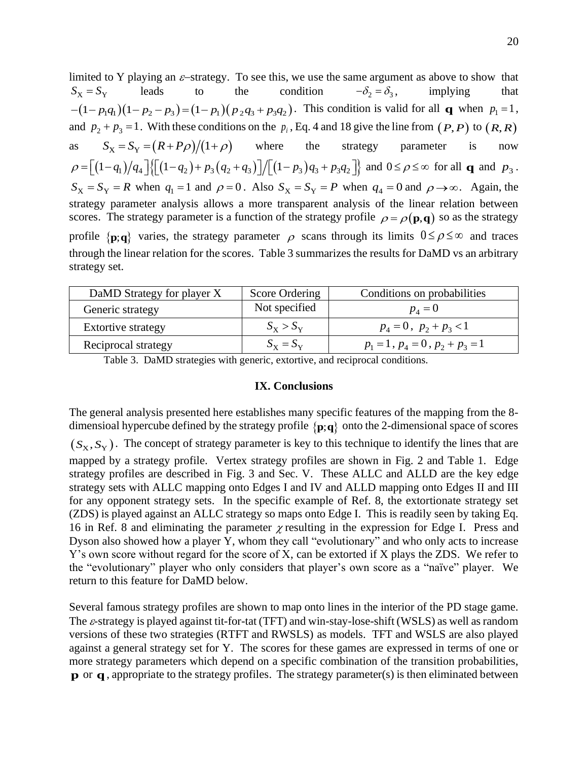limited to Y playing an  $\varepsilon$ -strategy. To see this, we use the same argument as above to show that  $S_{\rm X} = S_{\rm Y}$ leads to the condition  $-\delta_{2} = \delta_{3}$ , implying that  $-(1-p_1q_1)(1-p_2-p_3)=(1-p_1)(p_2q_3+p_3q_2)$ . This condition is valid for all **q** when  $p_1=1$ , and  $p_2 + p_3 = 1$ . With these conditions on the  $p_i$ , Eq. 4 and 18 give the line from  $(P, P)$  to  $(R, R)$ as  $S_{\rm x} = S_{\rm y} = (R + P \rho)/(1 + \rho)$ where the strategy parameter is now  $\rho = \left[ (1 - q_1)/q_4 \right] \left\{ \left[ (1 - q_2) + p_3 (q_2 + q_3) \right] / \left[ (1 - p_3) q_3 + p_3 q_2 \right] \right\}$  and  $0 \le \rho \le \infty$  for all **q** and  $p_3$ .  $S_X = S_Y = R$  when  $q_1 = 1$  and  $\rho = 0$ . Also  $S_X = S_Y = P$  when  $q_4 = 0$  and  $\rho \rightarrow \infty$ . Again, the strategy parameter analysis allows a more transparent analysis of the linear relation between scores. The strategy parameter is a function of the strategy profile  $\rho = \rho(\mathbf{p}, \mathbf{q})$  so as the strategy profile  $\{p;q\}$  varies, the strategy parameter  $\rho$  scans through its limits  $0 \le \rho \le \infty$  and traces through the linear relation for the scores. Table 3 summarizes the results for DaMD vs an arbitrary strategy set.

| DaMD Strategy for player X | Score Ordering          | Conditions on probabilities             |
|----------------------------|-------------------------|-----------------------------------------|
| Generic strategy           | Not specified           | $p_{\scriptscriptstyle A}=0$            |
| <b>Extortive strategy</b>  | $S_{\rm X} > S_{\rm Y}$ | $p_4 = 0$ , $p_2 + p_3 < 1$             |
| Reciprocal strategy        | $S_{\rm x} = S_{\rm y}$ | $p_1 = 1$ , $p_4 = 0$ , $p_2 + p_3 = 1$ |

Table 3. DaMD strategies with generic, extortive, and reciprocal conditions.

# **IX. Conclusions**

The general analysis presented here establishes many specific features of the mapping from the 8 dimensioal hypercube defined by the strategy profile  $\{p;q\}$  onto the 2-dimensional space of scores

 $(S_X, S_Y)$ . The concept of strategy parameter is key to this technique to identify the lines that are mapped by a strategy profile. Vertex strategy profiles are shown in Fig. 2 and Table 1. Edge strategy profiles are described in Fig. 3 and Sec. V. These ALLC and ALLD are the key edge strategy sets with ALLC mapping onto Edges I and IV and ALLD mapping onto Edges II and III for any opponent strategy sets. In the specific example of Ref. 8, the extortionate strategy set (ZDS) is played against an ALLC strategy so maps onto Edge I. This is readily seen by taking Eq. 16 in Ref. 8 and eliminating the parameter  $\chi$  resulting in the expression for Edge I. Press and Dyson also showed how a player Y, whom they call "evolutionary" and who only acts to increase Y's own score without regard for the score of X, can be extorted if X plays the ZDS. We refer to the "evolutionary" player who only considers that player's own score as a "naïve" player. We return to this feature for DaMD below.

Several famous strategy profiles are shown to map onto lines in the interior of the PD stage game. The  $\varepsilon$ -strategy is played against tit-for-tat (TFT) and win-stay-lose-shift (WSLS) as well as random versions of these two strategies (RTFT and RWSLS) as models. TFT and WSLS are also played against a general strategy set for Y. The scores for these games are expressed in terms of one or more strategy parameters which depend on a specific combination of the transition probabilities, **p** or **q**, appropriate to the strategy profiles. The strategy parameter(s) is then eliminated between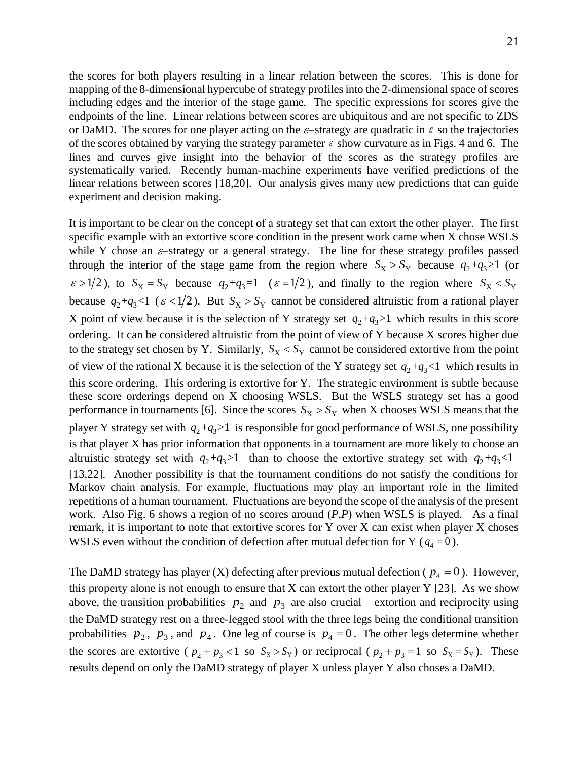the scores for both players resulting in a linear relation between the scores. This is done for mapping of the 8-dimensional hypercube of strategy profiles into the 2-dimensional space of scores including edges and the interior of the stage game. The specific expressions for scores give the endpoints of the line. Linear relations between scores are ubiquitous and are not specific to ZDS or DaMD. The scores for one player acting on the  $\varepsilon$ -strategy are quadratic in  $\varepsilon$  so the trajectories of the scores obtained by varying the strategy parameter  $\varepsilon$  show curvature as in Figs. 4 and 6. The lines and curves give insight into the behavior of the scores as the strategy profiles are systematically varied. Recently human-machine experiments have verified predictions of the linear relations between scores [18,20]. Our analysis gives many new predictions that can guide experiment and decision making.

It is important to be clear on the concept of a strategy set that can extort the other player. The first specific example with an extortive score condition in the present work came when X chose WSLS while Y chose an  $\varepsilon$ -strategy or a general strategy. The line for these strategy profiles passed through the interior of the stage game from the region where  $S_X > S_Y$  because  $q_2 + q_3 > 1$  (or  $\epsilon > 1/2$ ), to  $S_X = S_Y$  because  $q_2 + q_3 = 1$  ( $\epsilon = 1/2$ ), and finally to the region where  $S_X < S_Y$ because  $q_2 + q_3 < 1$  ( $\varepsilon < 1/2$ ). But  $S_X > S_Y$  cannot be considered altruistic from a rational player X point of view because it is the selection of Y strategy set  $q_2+q_3>1$  which results in this score ordering. It can be considered altruistic from the point of view of Y because X scores higher due to the strategy set chosen by Y. Similarly,  $S_X < S_Y$  cannot be considered extortive from the point of view of the rational X because it is the selection of the Y strategy set  $q_2+q_3 < 1$  which results in this score ordering. This ordering is extortive for Y. The strategic environment is subtle because these score orderings depend on X choosing WSLS. But the WSLS strategy set has a good performance in tournaments [6]. Since the scores  $S_X > S_Y$  when X chooses WSLS means that the player Y strategy set with  $q_2 + q_3 > 1$  is responsible for good performance of WSLS, one possibility is that player X has prior information that opponents in a tournament are more likely to choose an altruistic strategy set with  $q_2+q_3>1$  than to choose the extortive strategy set with  $q_2+q_3<1$ [13,22]. Another possibility is that the tournament conditions do not satisfy the conditions for Markov chain analysis. For example, fluctuations may play an important role in the limited repetitions of a human tournament. Fluctuations are beyond the scope of the analysis of the present work. Also Fig. 6 shows a region of no scores around (*P*,*P*) when WSLS is played. As a final remark, it is important to note that extortive scores for Y over X can exist when player X choses WSLS even without the condition of defection after mutual defection for Y ( $q_4$  = 0).

The DaMD strategy has player (X) defecting after previous mutual defection ( $p_4 = 0$ ). However, this property alone is not enough to ensure that  $X$  can extort the other player Y [23]. As we show above, the transition probabilities  $p_2$  and  $p_3$  are also crucial – extortion and reciprocity using the DaMD strategy rest on a three-legged stool with the three legs being the conditional transition probabilities  $p_2$ ,  $p_3$ , and  $p_4$ . One leg of course is  $p_4 = 0$ . The other legs determine whether the scores are extortive ( $p_2 + p_3 < 1$  so  $S_X > S_Y$ ) or reciprocal ( $p_2 + p_3 = 1$  so  $S_X = S_Y$ ). These results depend on only the DaMD strategy of player X unless player Y also choses a DaMD.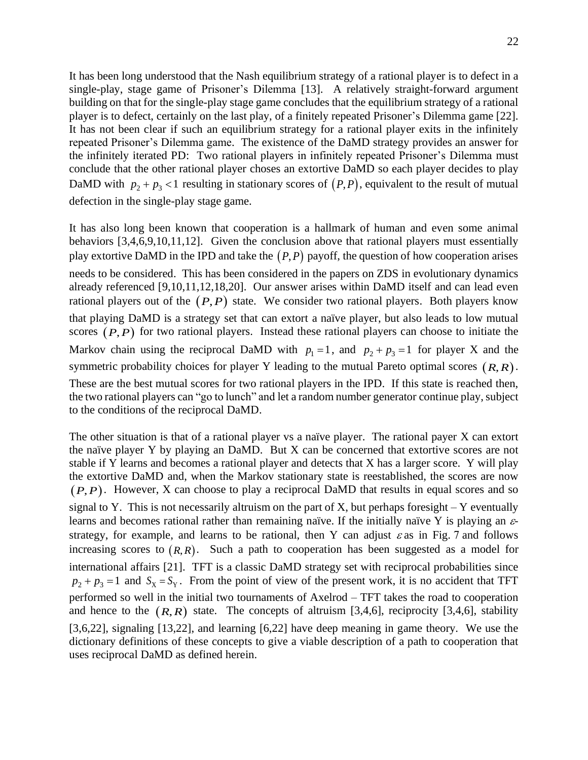It has been long understood that the Nash equilibrium strategy of a rational player is to defect in a single-play, stage game of Prisoner's Dilemma [13]. A relatively straight-forward argument building on that for the single-play stage game concludes that the equilibrium strategy of a rational player is to defect, certainly on the last play, of a finitely repeated Prisoner's Dilemma game [22]. It has not been clear if such an equilibrium strategy for a rational player exits in the infinitely repeated Prisoner's Dilemma game. The existence of the DaMD strategy provides an answer for the infinitely iterated PD: Two rational players in infinitely repeated Prisoner's Dilemma must conclude that the other rational player choses an extortive DaMD so each player decides to play DaMD with  $p_2 + p_3 < 1$  resulting in stationary scores of  $(P, P)$ , equivalent to the result of mutual defection in the single-play stage game.

It has also long been known that cooperation is a hallmark of human and even some animal behaviors [3,4,6,9,10,11,12]. Given the conclusion above that rational players must essentially play extortive DaMD in the IPD and take the  $(P,P)$  payoff, the question of how cooperation arises needs to be considered. This has been considered in the papers on ZDS in evolutionary dynamics already referenced [9,10,11,12,18,20]. Our answer arises within DaMD itself and can lead even rational players out of the  $(P, P)$  state. We consider two rational players. Both players know that playing DaMD is a strategy set that can extort a naïve player, but also leads to low mutual scores  $(P, P)$  for two rational players. Instead these rational players can choose to initiate the Markov chain using the reciprocal DaMD with  $p_1 = 1$ , and  $p_2 + p_3 = 1$  for player X and the symmetric probability choices for player Y leading to the mutual Pareto optimal scores  $(R, R)$ . These are the best mutual scores for two rational players in the IPD. If this state is reached then, the two rational players can "go to lunch" and let a random number generator continue play, subject to the conditions of the reciprocal DaMD.

The other situation is that of a rational player vs a naïve player. The rational payer X can extort the naïve player Y by playing an DaMD. But X can be concerned that extortive scores are not stable if Y learns and becomes a rational player and detects that X has a larger score. Y will play the extortive DaMD and, when the Markov stationary state is reestablished, the scores are now  $(P, P)$ . However, X can choose to play a reciprocal DaMD that results in equal scores and so signal to Y. This is not necessarily altruism on the part of X, but perhaps foresight  $-$  Y eventually learns and becomes rational rather than remaining naïve. If the initially naïve Y is playing an  $\varepsilon$ strategy, for example, and learns to be rational, then Y can adjust  $\varepsilon$  as in Fig. 7 and follows increasing scores to  $(R, R)$ . Such a path to cooperation has been suggested as a model for international affairs [21]. TFT is a classic DaMD strategy set with reciprocal probabilities since  $p_2 + p_3 = 1$  and  $S_x = S_y$ . From the point of view of the present work, it is no accident that TFT performed so well in the initial two tournaments of Axelrod – TFT takes the road to cooperation and hence to the  $(R, R)$  state. The concepts of altruism [3,4,6], reciprocity [3,4,6], stability [3,6,22], signaling [13,22], and learning [6,22] have deep meaning in game theory. We use the dictionary definitions of these concepts to give a viable description of a path to cooperation that uses reciprocal DaMD as defined herein.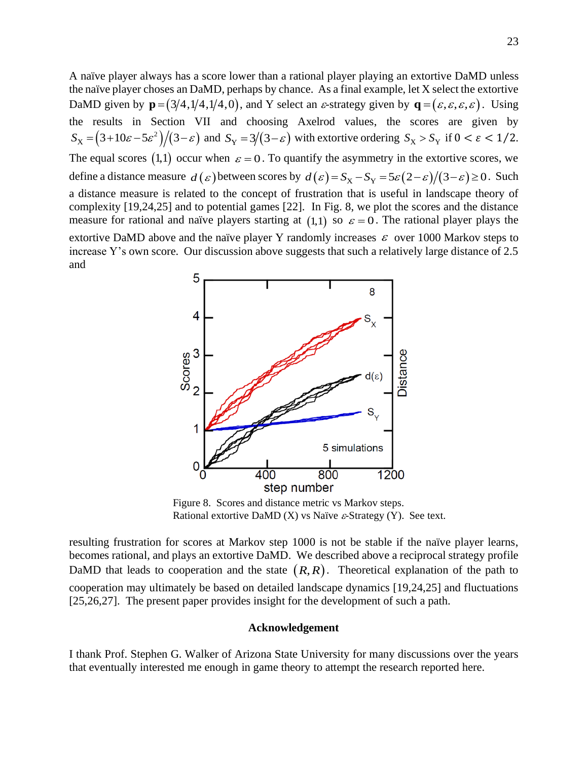A naïve player always has a score lower than a rational player playing an extortive DaMD unless the naïve player choses an DaMD, perhaps by chance. As a final example, let X select the extortive DaMD given by  $\mathbf{p} = (3/4, 1/4, 1/4, 0)$ , and Y select an  $\varepsilon$ -strategy given by  $\mathbf{q} = (\varepsilon, \varepsilon, \varepsilon, \varepsilon)$ . Using the results in Section VII and choosing Axelrod values, the scores are given by  $(3+10\varepsilon - 5\varepsilon^2)/(3-\varepsilon)$  $S_X = (3+10\varepsilon - 5\varepsilon^2)/(3-\varepsilon)$  and  $S_Y = 3/(3-\varepsilon)$  with extortive ordering  $S_X > S_Y$  if  $0 < \varepsilon < 1/2$ . The equal scores (1,1) occur when  $\varepsilon = 0$ . To quantify the asymmetry in the extortive scores, we define a distance measure  $d(\varepsilon)$  between scores by  $d(\varepsilon) = S_X - S_Y = 5\varepsilon(2-\varepsilon)/(3-\varepsilon) \ge 0$ . Such a distance measure is related to the concept of frustration that is useful in landscape theory of complexity [19,24,25] and to potential games [22]. In Fig. 8, we plot the scores and the distance measure for rational and naïve players starting at  $(1,1)$  so  $\varepsilon = 0$ . The rational player plays the extortive DaMD above and the naïve player Y randomly increases  $\varepsilon$  over 1000 Markov steps to increase Y's own score. Our discussion above suggests that such a relatively large distance of 2.5 and



Figure 8. Scores and distance metric vs Markov steps. Rational extortive DaMD  $(X)$  vs Naïve  $\varepsilon$ -Strategy  $(Y)$ . See text.

resulting frustration for scores at Markov step 1000 is not be stable if the naïve player learns, becomes rational, and plays an extortive DaMD. We described above a reciprocal strategy profile DaMD that leads to cooperation and the state  $(R, R)$ . Theoretical explanation of the path to cooperation may ultimately be based on detailed landscape dynamics [19,24,25] and fluctuations [25,26,27]. The present paper provides insight for the development of such a path.

# **Acknowledgement**

I thank Prof. Stephen G. Walker of Arizona State University for many discussions over the years that eventually interested me enough in game theory to attempt the research reported here.